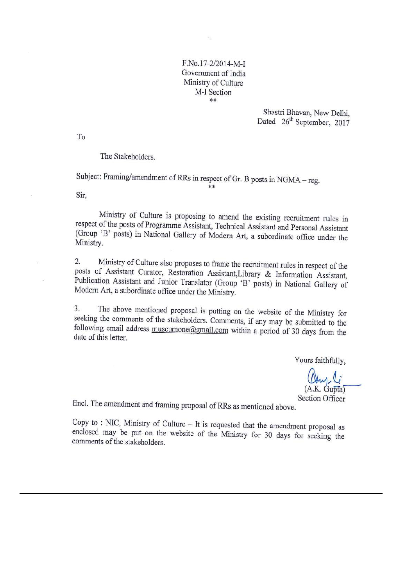F.No.17-2/2014-M-I Government of India Ministry of Culture M-I Section  $*$ 

> Shastri Bhavan, New Delhi, Dated 26<sup>th</sup> September, 2017

To

The Stakeholders.

Subject: Framing/amendment of RRs in respect of Gr. B posts in NGMA - reg.

Sir.

Ministry of Culture is proposing to amend the existing recruitment rules in respect of the posts of Programme Assistant, Technical Assistant and Personal Assistant (Group 'B' posts) in National Gallery of Modern Art, a subordinate office under the Ministry.

\*\*

Ministry of Culture also proposes to frame the recruitment rules in respect of the  $2.$ posts of Assistant Curator, Restoration Assistant, Library & Information Assistant, Publication Assistant and Junior Translator (Group 'B' posts) in National Gallery of Modern Art, a subordinate office under the Ministry.

The above mentioned proposal is putting on the website of the Ministry for  $3.$ seeking the comments of the stakeholders. Comments, if any may be submitted to the following email address museumone@gmail.com within a period of 30 days from the date of this letter.

Yours faithfully,

(A.K. Gupta) **Section Officer** 

Encl. The amendment and framing proposal of RRs as mentioned above.

Copy to : NIC, Ministry of Culture  $-$  It is requested that the amendment proposal as enclosed may be put on the website of the Ministry for 30 days for seeking the comments of the stakeholders.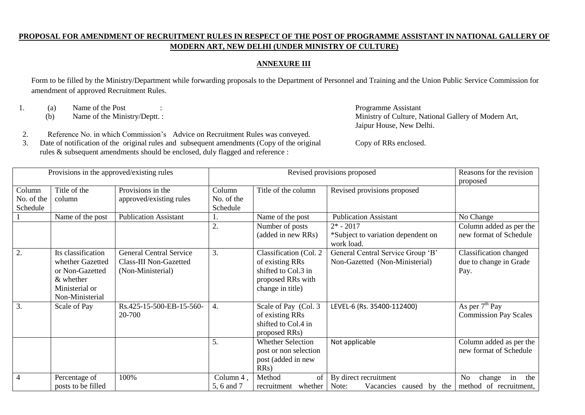#### **PROPOSAL FOR AMENDMENT OF RECRUITMENT RULES IN RESPECT OF THE POST OF PROGRAMME ASSISTANT IN NATIONAL GALLERY OF MODERN ART, NEW DELHI (UNDER MINISTRY OF CULTURE)**

#### **ANNEXURE III**

Form to be filled by the Ministry/Department while forwarding proposals to the Department of Personnel and Training and the Union Public Service Commission for amendment of approved Recruitment Rules.

1. (a) Name of the Post : Programme Assistant

Г

(b) Name of the Ministry/Deptt. : Ministry of Culture, National Gallery of Modern Art, Jaipur House, New Delhi.

- 2. Reference No. in which Commission's Advice on Recruitment Rules was conveyed.
- 3. Date of notification of the original rules and subsequent amendments (Copy of the original rules & subsequent amendments should be enclosed, duly flagged and reference :

Copy of RRs enclosed.

|                                  | Provisions in the approved/existing rules                                                                     |                                                                               |                                  |                                                                                                           | Revised provisions proposed                                         | Reasons for the revision<br>proposed                            |
|----------------------------------|---------------------------------------------------------------------------------------------------------------|-------------------------------------------------------------------------------|----------------------------------|-----------------------------------------------------------------------------------------------------------|---------------------------------------------------------------------|-----------------------------------------------------------------|
| Column<br>No. of the<br>Schedule | Title of the<br>column                                                                                        | Provisions in the<br>approved/existing rules                                  | Column<br>No. of the<br>Schedule | Title of the column                                                                                       | Revised provisions proposed                                         |                                                                 |
|                                  | Name of the post                                                                                              | <b>Publication Assistant</b>                                                  |                                  | Name of the post                                                                                          | <b>Publication Assistant</b>                                        | No Change                                                       |
|                                  |                                                                                                               |                                                                               | 2.                               | Number of posts<br>(added in new RRs)                                                                     | $2* - 2017$<br>*Subject to variation dependent on<br>work load.     | Column added as per the<br>new format of Schedule               |
| 2.                               | Its classification<br>whether Gazetted<br>or Non-Gazetted<br>$&$ whether<br>Ministerial or<br>Non-Ministerial | <b>General Central Service</b><br>Class-III Non-Gazetted<br>(Non-Ministerial) | 3.                               | Classification (Col. 2<br>of existing RRs<br>shifted to Col.3 in<br>proposed RRs with<br>change in title) | General Central Service Group 'B'<br>Non-Gazetted (Non-Ministerial) | <b>Classification</b> changed<br>due to change in Grade<br>Pay. |
| 3.                               | Scale of Pay                                                                                                  | Rs.425-15-500-EB-15-560-<br>20-700                                            | 4.                               | Scale of Pay (Col. 3<br>of existing RRs<br>shifted to Col.4 in<br>proposed RRs)                           | LEVEL-6 (Rs. 35400-112400)                                          | As per $7th$ Pay<br><b>Commission Pay Scales</b>                |
|                                  |                                                                                                               |                                                                               | 5.                               | <b>Whether Selection</b><br>post or non selection<br>post (added in new<br>RRs)                           | Not applicable                                                      | Column added as per the<br>new format of Schedule               |
| $\overline{4}$                   | Percentage of<br>posts to be filled                                                                           | 100%                                                                          | Column 4,<br>5, 6 and 7          | Method<br>of<br>whether<br>recruitment                                                                    | By direct recruitment<br>Note:<br>Vacancies caused by<br>the        | N <sub>o</sub><br>the<br>change<br>in<br>method of recruitment, |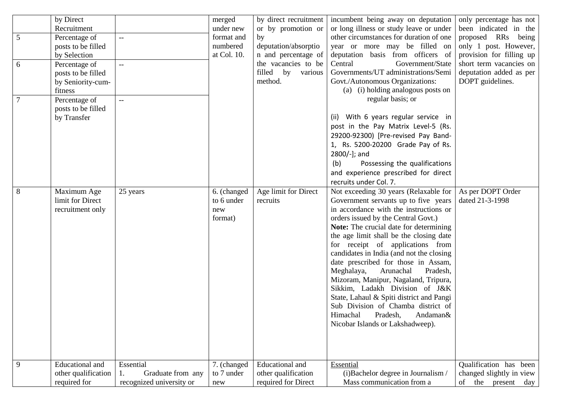| 5<br>6<br>$\overline{7}$ | by Direct<br>Recruitment<br>Percentage of<br>posts to be filled<br>by Selection<br>Percentage of<br>posts to be filled<br>by Seniority-cum-<br>fitness<br>Percentage of | $-$<br>$- -$<br>$-$                                        | merged<br>under new<br>format and<br>numbered<br>at Col. 10. | by direct recruitment<br>or by promotion or<br>by<br>deputation/absorptio<br>n and percentage of<br>the vacancies to be<br>filled by<br>various<br>method. | incumbent being away on deputation<br>or long illness or study leave or under<br>other circumstances for duration of one<br>year or more may be filled on<br>deputation basis from officers of<br>Central<br>Government/State<br>Governments/UT administrations/Semi<br>Govt./Autonomous Organizations:<br>(a) (i) holding analogous posts on<br>regular basis; or                                                                                                                                                                                                                                                                                    | only percentage has not<br>been indicated in the<br>proposed RRs being<br>only 1 post. However,<br>provision for filling up<br>short term vacancies on<br>deputation added as per<br>DOPT guidelines. |
|--------------------------|-------------------------------------------------------------------------------------------------------------------------------------------------------------------------|------------------------------------------------------------|--------------------------------------------------------------|------------------------------------------------------------------------------------------------------------------------------------------------------------|-------------------------------------------------------------------------------------------------------------------------------------------------------------------------------------------------------------------------------------------------------------------------------------------------------------------------------------------------------------------------------------------------------------------------------------------------------------------------------------------------------------------------------------------------------------------------------------------------------------------------------------------------------|-------------------------------------------------------------------------------------------------------------------------------------------------------------------------------------------------------|
|                          | posts to be filled<br>by Transfer                                                                                                                                       |                                                            |                                                              |                                                                                                                                                            | (ii) With 6 years regular service in<br>post in the Pay Matrix Level-5 (Rs.<br>29200-92300) [Pre-revised Pay Band-<br>1, Rs. 5200-20200 Grade Pay of Rs.<br>2800/-]; and<br>(b)<br>Possessing the qualifications<br>and experience prescribed for direct<br>recruits under Col. 7.                                                                                                                                                                                                                                                                                                                                                                    |                                                                                                                                                                                                       |
| 8                        | Maximum Age<br>limit for Direct<br>recruitment only                                                                                                                     | 25 years                                                   | 6. (changed<br>to 6 under<br>new<br>format)                  | Age limit for Direct<br>recruits                                                                                                                           | Not exceeding 30 years (Relaxable for<br>Government servants up to five years<br>in accordance with the instructions or<br>orders issued by the Central Govt.)<br>Note: The crucial date for determining<br>the age limit shall be the closing date<br>for receipt of applications from<br>candidates in India (and not the closing<br>date prescribed for those in Assam,<br>Meghalaya,<br>Arunachal<br>Pradesh,<br>Mizoram, Manipur, Nagaland, Tripura,<br>Sikkim, Ladakh Division of J&K<br>State, Lahaul & Spiti district and Pangi<br>Sub Division of Chamba district of<br>Himachal<br>Pradesh,<br>Andaman&<br>Nicobar Islands or Lakshadweep). | As per DOPT Order<br>dated 21-3-1998                                                                                                                                                                  |
| 9                        | <b>Educational</b> and<br>other qualification<br>required for                                                                                                           | Essential<br>Graduate from any<br>recognized university or | 7. (changed<br>to 7 under<br>new                             | Educational and<br>other qualification<br>required for Direct                                                                                              | Essential<br>(i)Bachelor degree in Journalism /<br>Mass communication from a                                                                                                                                                                                                                                                                                                                                                                                                                                                                                                                                                                          | Qualification has been<br>changed slightly in view<br>the present<br>of<br>day                                                                                                                        |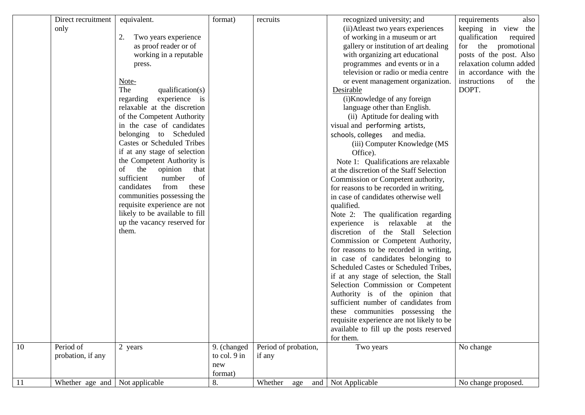|    | Direct recruitment             | equivalent.                       | format)      | recruits             | recognized university; and                                                       | requirements<br>also      |
|----|--------------------------------|-----------------------------------|--------------|----------------------|----------------------------------------------------------------------------------|---------------------------|
|    | only                           |                                   |              |                      | (ii) Atleast two years experiences                                               | keeping in view the       |
|    |                                | Two years experience<br>2.        |              |                      | of working in a museum or art                                                    | qualification<br>required |
|    |                                | as proof reader or of             |              |                      | gallery or institution of art dealing                                            | for the promotional       |
|    |                                | working in a reputable            |              |                      | with organizing art educational                                                  | posts of the post. Also   |
|    |                                | press.                            |              |                      | programmes and events or in a                                                    | relaxation column added   |
|    |                                |                                   |              |                      | television or radio or media centre                                              | in accordance with the    |
|    |                                | Note-                             |              |                      | or event management organization.                                                | of<br>instructions<br>the |
|    |                                | The<br>qualification(s)           |              |                      | Desirable                                                                        | DOPT.                     |
|    |                                | experience is<br>regarding        |              |                      | (i)Knowledge of any foreign                                                      |                           |
|    |                                | relaxable at the discretion       |              |                      | language other than English.                                                     |                           |
|    |                                | of the Competent Authority        |              |                      | (ii) Aptitude for dealing with                                                   |                           |
|    |                                | in the case of candidates         |              |                      | visual and performing artists,                                                   |                           |
|    |                                | belonging to Scheduled            |              |                      | schools, colleges and media.                                                     |                           |
|    |                                | <b>Castes or Scheduled Tribes</b> |              |                      |                                                                                  |                           |
|    |                                | if at any stage of selection      |              |                      | (iii) Computer Knowledge (MS<br>Office).                                         |                           |
|    |                                | the Competent Authority is        |              |                      |                                                                                  |                           |
|    |                                | the<br>opinion<br>that<br>of      |              |                      | Note 1: Qualifications are relaxable<br>at the discretion of the Staff Selection |                           |
|    |                                | sufficient<br>number<br>of        |              |                      |                                                                                  |                           |
|    |                                | candidates<br>from                |              |                      | Commission or Competent authority,                                               |                           |
|    |                                | these                             |              |                      | for reasons to be recorded in writing,                                           |                           |
|    |                                | communities possessing the        |              |                      | in case of candidates otherwise well                                             |                           |
|    |                                | requisite experience are not      |              |                      | qualified.                                                                       |                           |
|    |                                | likely to be available to fill    |              |                      | Note 2: The qualification regarding                                              |                           |
|    |                                | up the vacancy reserved for       |              |                      | experience is relaxable<br>at the                                                |                           |
|    |                                | them.                             |              |                      | discretion of the Stall<br>Selection                                             |                           |
|    |                                |                                   |              |                      | Commission or Competent Authority,                                               |                           |
|    |                                |                                   |              |                      | for reasons to be recorded in writing,                                           |                           |
|    |                                |                                   |              |                      | in case of candidates belonging to                                               |                           |
|    |                                |                                   |              |                      | Scheduled Castes or Scheduled Tribes,                                            |                           |
|    |                                |                                   |              |                      | if at any stage of selection, the Stall                                          |                           |
|    |                                |                                   |              |                      | Selection Commission or Competent                                                |                           |
|    |                                |                                   |              |                      | Authority is of the opinion that                                                 |                           |
|    |                                |                                   |              |                      | sufficient number of candidates from                                             |                           |
|    |                                |                                   |              |                      | these communities possessing the                                                 |                           |
|    |                                |                                   |              |                      | requisite experience are not likely to be                                        |                           |
|    |                                |                                   |              |                      | available to fill up the posts reserved                                          |                           |
|    |                                |                                   |              |                      | for them.                                                                        |                           |
| 10 | Period of                      | 2 years                           | 9. (changed  | Period of probation, | Two years                                                                        | No change                 |
|    | probation, if any              |                                   | to col. 9 in | if any               |                                                                                  |                           |
|    |                                |                                   | new          |                      |                                                                                  |                           |
|    |                                |                                   | format)      |                      |                                                                                  |                           |
| 11 | Whether age and Not applicable |                                   | 8.           | Whether<br>and       | Not Applicable                                                                   | No change proposed.       |
|    |                                |                                   |              | age                  |                                                                                  |                           |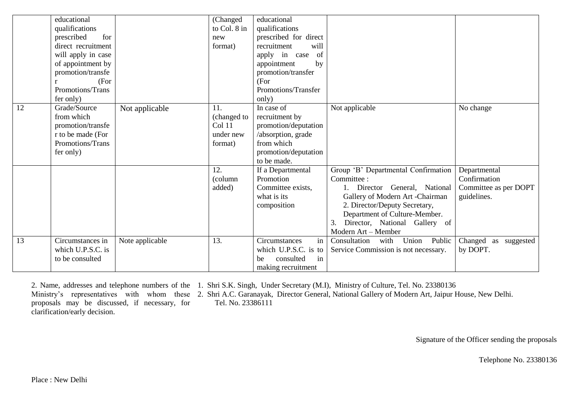|    | educational        |                 | (Changed     | educational           |                                         |                            |
|----|--------------------|-----------------|--------------|-----------------------|-----------------------------------------|----------------------------|
|    | qualifications     |                 | to Col. 8 in | qualifications        |                                         |                            |
|    | for<br>prescribed  |                 | new          | prescribed for direct |                                         |                            |
|    | direct recruitment |                 | format)      | recruitment<br>will   |                                         |                            |
|    | will apply in case |                 |              | of<br>apply in case   |                                         |                            |
|    | of appointment by  |                 |              | appointment<br>by     |                                         |                            |
|    | promotion/transfe  |                 |              | promotion/transfer    |                                         |                            |
|    | (For               |                 |              | (For                  |                                         |                            |
|    | Promotions/Trans   |                 |              | Promotions/Transfer   |                                         |                            |
|    | fer only)          |                 |              | only)                 |                                         |                            |
| 12 | Grade/Source       | Not applicable  | 11.          | In case of            | Not applicable                          | No change                  |
|    | from which         |                 | (changed to  | recruitment by        |                                         |                            |
|    | promotion/transfe  |                 | Col 11       | promotion/deputation  |                                         |                            |
|    | r to be made (For  |                 | under new    | /absorption, grade    |                                         |                            |
|    | Promotions/Trans   |                 | format)      | from which            |                                         |                            |
|    | fer only)          |                 |              | promotion/deputation  |                                         |                            |
|    |                    |                 |              | to be made.           |                                         |                            |
|    |                    |                 | 12.          | If a Departmental     | Group 'B' Departmental Confirmation     | Departmental               |
|    |                    |                 | (column      | Promotion             | Committee:                              | Confirmation               |
|    |                    |                 | added)       | Committee exists,     | 1. Director General, National           | Committee as per DOPT      |
|    |                    |                 |              | what is its           | Gallery of Modern Art -Chairman         | guidelines.                |
|    |                    |                 |              | composition           | 2. Director/Deputy Secretary,           |                            |
|    |                    |                 |              |                       | Department of Culture-Member.           |                            |
|    |                    |                 |              |                       | Director, National Gallery of<br>3.     |                            |
|    |                    |                 |              |                       | Modern Art - Member                     |                            |
| 13 | Circumstances in   | Note applicable | 13.          | in<br>Circumstances   | Union<br>Public<br>Consultation<br>with | Changed<br>suggested<br>as |
|    | which U.P.S.C. is  |                 |              | which U.P.S.C. is to  | Service Commission is not necessary.    | by DOPT.                   |
|    | to be consulted    |                 |              | consulted<br>in<br>he |                                         |                            |
|    |                    |                 |              | making recruitment    |                                         |                            |

2. Name, addresses and telephone numbers of the 1. Shri S.K. Singh, Under Secretary (M.I), Ministry of Culture, Tel. No. 23380136

Ministry's representatives with whom these 2. Shri A.C. Garanayak, Director General, National Gallery of Modern Art, Jaipur House, New Delhi. proposals may be discussed, if necessary, for clarification/early decision. Tel. No. 23386111

Signature of the Officer sending the proposals

Telephone No. 23380136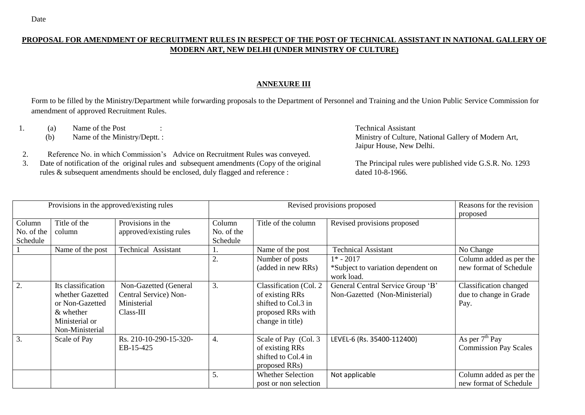# **PROPOSAL FOR AMENDMENT OF RECRUITMENT RULES IN RESPECT OF THE POST OF TECHNICAL ASSISTANT IN NATIONAL GALLERY OF MODERN ART, NEW DELHI (UNDER MINISTRY OF CULTURE)**

### **ANNEXURE III**

Form to be filled by the Ministry/Department while forwarding proposals to the Department of Personnel and Training and the Union Public Service Commission for amendment of approved Recruitment Rules.

1. (a) Name of the Post : Technical Assistant

(b) Name of the Ministry/Deptt. : Ministry of Culture, National Gallery of Modern Art, Jaipur House, New Delhi.

2. Reference No. in which Commission's Advice on Recruitment Rules was conveyed.

3. Date of notification of the original rules and subsequent amendments (Copy of the original rules & subsequent amendments should be enclosed, duly flagged and reference :

The Principal rules were published vide G.S.R. No. 1293 dated 10-8-1966.

|                                  | Provisions in the approved/existing rules                                                                      |                                                                            |                                  | Revised provisions proposed                                                                               | Reasons for the revision<br>proposed                                |                                                          |
|----------------------------------|----------------------------------------------------------------------------------------------------------------|----------------------------------------------------------------------------|----------------------------------|-----------------------------------------------------------------------------------------------------------|---------------------------------------------------------------------|----------------------------------------------------------|
| Column<br>No. of the<br>Schedule | Title of the<br>column                                                                                         | Provisions in the<br>approved/existing rules                               | Column<br>No. of the<br>Schedule | Title of the column                                                                                       | Revised provisions proposed                                         |                                                          |
|                                  | Name of the post                                                                                               | <b>Technical Assistant</b>                                                 |                                  | Name of the post                                                                                          | <b>Technical Assistant</b>                                          | No Change                                                |
|                                  |                                                                                                                |                                                                            | $\overline{2}$                   | Number of posts<br>(added in new RRs)                                                                     | $1* - 2017$<br>*Subject to variation dependent on<br>work load.     | Column added as per the<br>new format of Schedule        |
| 2.                               | Its classification<br>whether Gazetted<br>or Non-Gazetted<br>$\&$ whether<br>Ministerial or<br>Non-Ministerial | Non-Gazetted (General<br>Central Service) Non-<br>Ministerial<br>Class-III | 3.                               | Classification (Col. 2<br>of existing RRs<br>shifted to Col.3 in<br>proposed RRs with<br>change in title) | General Central Service Group 'B'<br>Non-Gazetted (Non-Ministerial) | Classification changed<br>due to change in Grade<br>Pay. |
| 3.                               | Scale of Pay                                                                                                   | Rs. 210-10-290-15-320-<br>EB-15-425                                        | 4.                               | Scale of Pay (Col. 3)<br>of existing RRs<br>shifted to Col.4 in<br>proposed RRs)                          | LEVEL-6 (Rs. 35400-112400)                                          | As per $7th$ Pay<br><b>Commission Pay Scales</b>         |
|                                  |                                                                                                                |                                                                            | 5.                               | <b>Whether Selection</b><br>post or non selection                                                         | Not applicable                                                      | Column added as per the<br>new format of Schedule        |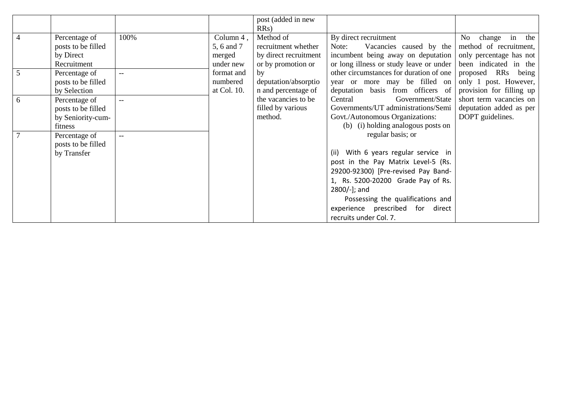|                |                    |        |             | post (added in new    |                                         |                          |
|----------------|--------------------|--------|-------------|-----------------------|-----------------------------------------|--------------------------|
|                |                    |        |             | RRs)                  |                                         |                          |
| $\overline{4}$ | Percentage of      | 100%   | Column 4,   | Method of             | By direct recruitment                   | No<br>change in the      |
|                | posts to be filled |        | 5, 6 and 7  | recruitment whether   | Note:<br>Vacancies caused by the        | method of recruitment,   |
|                | by Direct          |        | merged      | by direct recruitment | incumbent being away on deputation      | only percentage has not  |
|                | Recruitment        |        | under new   | or by promotion or    | or long illness or study leave or under | been indicated in the    |
| 5              | Percentage of      |        | format and  | by                    | other circumstances for duration of one | proposed RRs being       |
|                | posts to be filled |        | numbered    | deputation/absorptio  | year or more may be filled on           | only 1 post. However,    |
|                | by Selection       |        | at Col. 10. | n and percentage of   | deputation basis from officers of       | provision for filling up |
| 6              | Percentage of      | $\sim$ |             | the vacancies to be   | Government/State<br>Central             | short term vacancies on  |
|                | posts to be filled |        |             | filled by various     | Governments/UT administrations/Semi     | deputation added as per  |
|                | by Seniority-cum-  |        |             | method.               | Govt./Autonomous Organizations:         | DOPT guidelines.         |
|                | fitness            |        |             |                       | (b) (i) holding analogous posts on      |                          |
|                | Percentage of      | $ -$   |             |                       | regular basis; or                       |                          |
|                | posts to be filled |        |             |                       |                                         |                          |
|                | by Transfer        |        |             |                       | (ii) With 6 years regular service in    |                          |
|                |                    |        |             |                       | post in the Pay Matrix Level-5 (Rs.     |                          |
|                |                    |        |             |                       | 29200-92300) [Pre-revised Pay Band-     |                          |
|                |                    |        |             |                       | 1, Rs. 5200-20200 Grade Pay of Rs.      |                          |
|                |                    |        |             |                       | 2800/-]; and                            |                          |
|                |                    |        |             |                       | Possessing the qualifications and       |                          |
|                |                    |        |             |                       | experience prescribed for direct        |                          |
|                |                    |        |             |                       | recruits under Col. 7.                  |                          |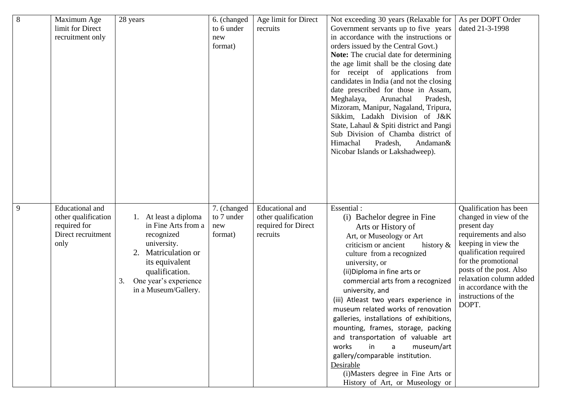| $\overline{8}$ | Maximum Age            | 28 years                    | 6. (changed | Age limit for Direct | Not exceeding 30 years (Relaxable for                                        | As per DOPT Order                                  |
|----------------|------------------------|-----------------------------|-------------|----------------------|------------------------------------------------------------------------------|----------------------------------------------------|
|                | limit for Direct       |                             | to 6 under  | recruits             | Government servants up to five years                                         | dated 21-3-1998                                    |
|                | recruitment only       |                             | new         |                      | in accordance with the instructions or                                       |                                                    |
|                |                        |                             | format)     |                      | orders issued by the Central Govt.)                                          |                                                    |
|                |                        |                             |             |                      | Note: The crucial date for determining                                       |                                                    |
|                |                        |                             |             |                      | the age limit shall be the closing date                                      |                                                    |
|                |                        |                             |             |                      | for receipt of applications from<br>candidates in India (and not the closing |                                                    |
|                |                        |                             |             |                      | date prescribed for those in Assam,                                          |                                                    |
|                |                        |                             |             |                      | Meghalaya,<br>Arunachal<br>Pradesh,                                          |                                                    |
|                |                        |                             |             |                      | Mizoram, Manipur, Nagaland, Tripura,                                         |                                                    |
|                |                        |                             |             |                      | Sikkim, Ladakh Division of J&K                                               |                                                    |
|                |                        |                             |             |                      | State, Lahaul & Spiti district and Pangi                                     |                                                    |
|                |                        |                             |             |                      | Sub Division of Chamba district of                                           |                                                    |
|                |                        |                             |             |                      | Himachal<br>Pradesh,<br>Andaman&                                             |                                                    |
|                |                        |                             |             |                      | Nicobar Islands or Lakshadweep).                                             |                                                    |
|                |                        |                             |             |                      |                                                                              |                                                    |
|                |                        |                             |             |                      |                                                                              |                                                    |
|                |                        |                             |             |                      |                                                                              |                                                    |
|                |                        |                             |             |                      |                                                                              |                                                    |
| 9              | <b>Educational</b> and |                             | 7. (changed | Educational and      | Essential:                                                                   | Qualification has been                             |
|                | other qualification    | At least a diploma<br>1.    | to 7 under  | other qualification  | (i) Bachelor degree in Fine                                                  | changed in view of the                             |
|                | required for           | in Fine Arts from a         | new         | required for Direct  | Arts or History of                                                           | present day                                        |
|                | Direct recruitment     | recognized                  | format)     | recruits             | Art, or Museology or Art                                                     | requirements and also                              |
|                | only                   | university.                 |             |                      | criticism or ancient<br>history &                                            | keeping in view the                                |
|                |                        | Matriculation or<br>2.      |             |                      | culture from a recognized                                                    | qualification required                             |
|                |                        | its equivalent              |             |                      | university, or                                                               | for the promotional                                |
|                |                        | qualification.              |             |                      | (ii) Diploma in fine arts or                                                 | posts of the post. Also<br>relaxation column added |
|                |                        | One year's experience<br>3. |             |                      | commercial arts from a recognized                                            | in accordance with the                             |
|                |                        | in a Museum/Gallery.        |             |                      | university, and                                                              | instructions of the                                |
|                |                        |                             |             |                      | (iii) Atleast two years experience in<br>museum related works of renovation  | DOPT.                                              |
|                |                        |                             |             |                      | galleries, installations of exhibitions,                                     |                                                    |
|                |                        |                             |             |                      | mounting, frames, storage, packing                                           |                                                    |
|                |                        |                             |             |                      | and transportation of valuable art                                           |                                                    |
|                |                        |                             |             |                      | museum/art<br>works<br>in<br>a                                               |                                                    |
|                |                        |                             |             |                      | gallery/comparable institution.                                              |                                                    |
|                |                        |                             |             |                      | Desirable                                                                    |                                                    |
|                |                        |                             |             |                      | (i)Masters degree in Fine Arts or                                            |                                                    |
|                |                        |                             |             |                      | History of Art, or Museology or                                              |                                                    |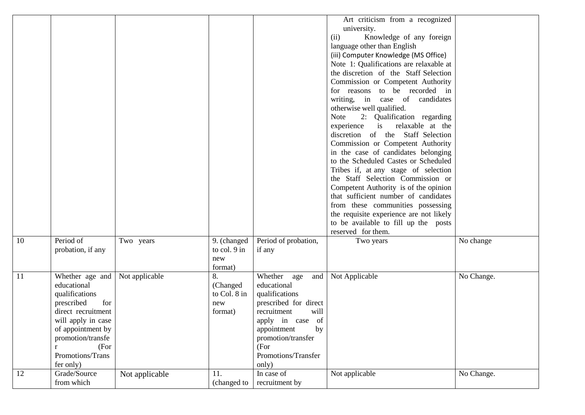|               |                                                                                                                                                                                                                      |                |                                                  |                                                                                                                                                                                                              | Art criticism from a recognized<br>university.<br>Knowledge of any foreign<br>(ii)<br>language other than English<br>(iii) Computer Knowledge (MS Office)<br>Note 1: Qualifications are relaxable at<br>the discretion of the Staff Selection<br>Commission or Competent Authority<br>for reasons to be recorded in<br>writing, in case of candidates<br>otherwise well qualified.<br>2: Qualification regarding<br>Note<br>is relaxable at the<br>experience<br>discretion of the Staff Selection<br>Commission or Competent Authority<br>in the case of candidates belonging<br>to the Scheduled Castes or Scheduled<br>Tribes if, at any stage of selection<br>the Staff Selection Commission or<br>Competent Authority is of the opinion<br>that sufficient number of candidates<br>from these communities possessing<br>the requisite experience are not likely<br>to be available to fill up the posts<br>reserved for them. |            |
|---------------|----------------------------------------------------------------------------------------------------------------------------------------------------------------------------------------------------------------------|----------------|--------------------------------------------------|--------------------------------------------------------------------------------------------------------------------------------------------------------------------------------------------------------------|------------------------------------------------------------------------------------------------------------------------------------------------------------------------------------------------------------------------------------------------------------------------------------------------------------------------------------------------------------------------------------------------------------------------------------------------------------------------------------------------------------------------------------------------------------------------------------------------------------------------------------------------------------------------------------------------------------------------------------------------------------------------------------------------------------------------------------------------------------------------------------------------------------------------------------|------------|
| 10            | Period of<br>probation, if any                                                                                                                                                                                       | Two years      | 9. (changed<br>to col. 9 in<br>new<br>format)    | Period of probation,<br>if any                                                                                                                                                                               | Two years                                                                                                                                                                                                                                                                                                                                                                                                                                                                                                                                                                                                                                                                                                                                                                                                                                                                                                                          | No change  |
| <sup>11</sup> | Whether age and<br>educational<br>qualifications<br>for<br>prescribed<br>direct recruitment<br>will apply in case<br>of appointment by<br>promotion/transfe<br>(For<br>$\mathbf{r}$<br>Promotions/Trans<br>fer only) | Not applicable | 8.<br>(Changed<br>to Col. 8 in<br>new<br>format) | Whether age<br>and  <br>educational<br>qualifications<br>prescribed for direct<br>recruitment<br>will<br>apply in case of<br>appointment<br>by<br>promotion/transfer<br>(For<br>Promotions/Transfer<br>only) | Not Applicable                                                                                                                                                                                                                                                                                                                                                                                                                                                                                                                                                                                                                                                                                                                                                                                                                                                                                                                     | No Change. |
| 12            | Grade/Source<br>from which                                                                                                                                                                                           | Not applicable | 11.<br>(changed to                               | In case of<br>recruitment by                                                                                                                                                                                 | Not applicable                                                                                                                                                                                                                                                                                                                                                                                                                                                                                                                                                                                                                                                                                                                                                                                                                                                                                                                     | No Change. |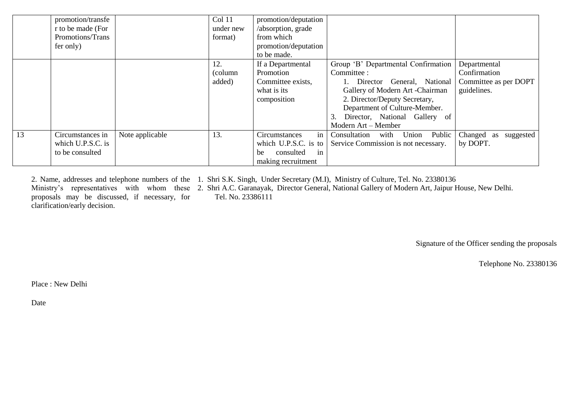|    | promotion/transfe |                 | Col 11    | promotion/deputation  |                                      |                         |
|----|-------------------|-----------------|-----------|-----------------------|--------------------------------------|-------------------------|
|    | r to be made (For |                 | under new | /absorption, grade    |                                      |                         |
|    | Promotions/Trans  |                 | format)   | from which            |                                      |                         |
|    | fer only)         |                 |           | promotion/deputation  |                                      |                         |
|    |                   |                 |           | to be made.           |                                      |                         |
|    |                   |                 | 12.       | If a Departmental     | Group 'B' Departmental Confirmation  | Departmental            |
|    |                   |                 | (column)  | Promotion             | Committee :                          | Confirmation            |
|    |                   |                 | added)    | Committee exists,     | 1. Director General, National        | Committee as per DOPT   |
|    |                   |                 |           | what is its           | Gallery of Modern Art -Chairman      | guidelines.             |
|    |                   |                 |           | composition           | 2. Director/Deputy Secretary,        |                         |
|    |                   |                 |           |                       | Department of Culture-Member.        |                         |
|    |                   |                 |           |                       | Director, National Gallery of        |                         |
|    |                   |                 |           |                       | Modern Art - Member                  |                         |
| 13 | Circumstances in  | Note applicable | 13.       | in<br>Circumstances   | Consultation<br>with Union<br>Public | Changed as<br>suggested |
|    | which U.P.S.C. is |                 |           | which U.P.S.C. is to  | Service Commission is not necessary. | by DOPT.                |
|    | to be consulted   |                 |           | consulted<br>in<br>be |                                      |                         |
|    |                   |                 |           | making recruitment    |                                      |                         |

2. Name, addresses and telephone numbers of the 1. Shri S.K. Singh, Under Secretary (M.I), Ministry of Culture, Tel. No. 23380136 Ministry's representatives with whom these 2. Shri A.C. Garanayak, Director General, National Gallery of Modern Art, Jaipur House, New Delhi. proposals may be discussed, if necessary, for clarification/early decision. Tel. No. 23386111

Signature of the Officer sending the proposals

Telephone No. 23380136

Place : New Delhi

Date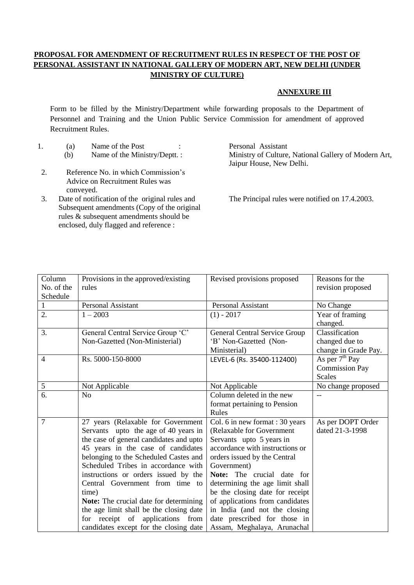# **PROPOSAL FOR AMENDMENT OF RECRUITMENT RULES IN RESPECT OF THE POST OF PERSONAL ASSISTANT IN NATIONAL GALLERY OF MODERN ART, NEW DELHI (UNDER MINISTRY OF CULTURE)**

#### **ANNEXURE III**

Form to be filled by the Ministry/Department while forwarding proposals to the Department of Personnel and Training and the Union Public Service Commission for amendment of approved Recruitment Rules.

- 1. (a) Name of the Post : Personal Assistant
- 2. Reference No. in which Commission's Advice on Recruitment Rules was conveyed.
- 3. Date of notification of the original rules and Subsequent amendments (Copy of the original rules & subsequent amendments should be enclosed, duly flagged and reference :

(b) Name of the Ministry/Deptt. : Ministry of Culture, National Gallery of Modern Art, Jaipur House, New Delhi.

The Principal rules were notified on 17.4.2003.

| Provisions in the approved/existing           | Revised provisions proposed          | Reasons for the       |
|-----------------------------------------------|--------------------------------------|-----------------------|
| rules                                         |                                      | revision proposed     |
|                                               |                                      |                       |
| <b>Personal Assistant</b>                     | <b>Personal Assistant</b>            | No Change             |
| $1 - 2003$                                    | $(1) - 2017$                         | Year of framing       |
|                                               |                                      | changed.              |
| General Central Service Group 'C'             | <b>General Central Service Group</b> | Classification        |
| Non-Gazetted (Non-Ministerial)                | 'B' Non-Gazetted (Non-               | changed due to        |
|                                               | Ministerial)                         | change in Grade Pay.  |
| Rs. 5000-150-8000                             | LEVEL-6 (Rs. 35400-112400)           | As per $7th$ Pay      |
|                                               |                                      | <b>Commission Pay</b> |
|                                               |                                      | <b>Scales</b>         |
| Not Applicable                                | Not Applicable                       | No change proposed    |
| N <sub>o</sub>                                | Column deleted in the new            |                       |
|                                               | format pertaining to Pension         |                       |
|                                               | Rules                                |                       |
| 27 years (Relaxable for Government            | Col. 6 in new format : 30 years      | As per DOPT Order     |
| Servants upto the age of 40 years in          | (Relaxable for Government            | dated 21-3-1998       |
| the case of general candidates and upto       | Servants upto 5 years in             |                       |
| 45 years in the case of candidates            | accordance with instructions or      |                       |
| belonging to the Scheduled Castes and         | orders issued by the Central         |                       |
| Scheduled Tribes in accordance with           | Government)                          |                       |
| instructions or orders issued by the          | Note: The crucial date for           |                       |
| Central Government from time to               | determining the age limit shall      |                       |
| time)                                         | be the closing date for receipt      |                       |
| <b>Note:</b> The crucial date for determining | of applications from candidates      |                       |
| the age limit shall be the closing date       | in India (and not the closing        |                       |
| for receipt of applications from              | date prescribed for those in         |                       |
| candidates except for the closing date        | Assam, Meghalaya, Arunachal          |                       |
|                                               |                                      |                       |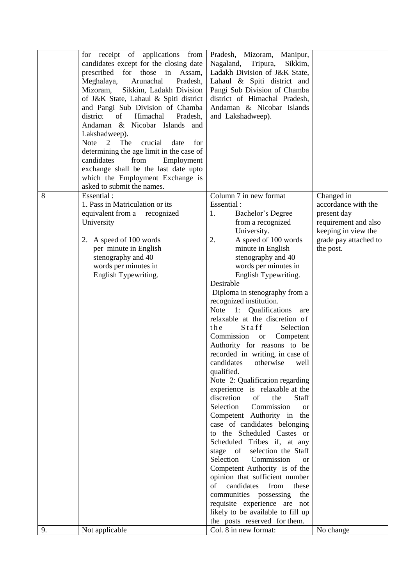|    | for receipt of applications from<br>candidates except for the closing date<br>prescribed for those in Assam,<br>Meghalaya,<br>Arunachal<br>Pradesh,<br>Mizoram,<br>Sikkim, Ladakh Division<br>of J&K State, Lahaul & Spiti district<br>and Pangi Sub Division of Chamba<br>Himachal<br>Pradesh,<br>district<br>of<br>Andaman & Nicobar Islands<br>and<br>Lakshadweep).<br>2<br>crucial<br>Note<br>The<br>date<br>for<br>determining the age limit in the case of<br>candidates<br>from<br>Employment<br>exchange shall be the last date upto<br>which the Employment Exchange is<br>asked to submit the names. | Pradesh, Mizoram, Manipur,<br>Sikkim,<br>Nagaland,<br>Tripura,<br>Ladakh Division of J&K State,<br>Lahaul & Spiti district and<br>Pangi Sub Division of Chamba<br>district of Himachal Pradesh,<br>Andaman & Nicobar Islands<br>and Lakshadweep).                                                                                                                                                                                                                                                                                                                                                                                                                                                                                                                                                                                                                                                                                                                                                                                                                                                                                                                                 |                                                                                                                                       |
|----|----------------------------------------------------------------------------------------------------------------------------------------------------------------------------------------------------------------------------------------------------------------------------------------------------------------------------------------------------------------------------------------------------------------------------------------------------------------------------------------------------------------------------------------------------------------------------------------------------------------|-----------------------------------------------------------------------------------------------------------------------------------------------------------------------------------------------------------------------------------------------------------------------------------------------------------------------------------------------------------------------------------------------------------------------------------------------------------------------------------------------------------------------------------------------------------------------------------------------------------------------------------------------------------------------------------------------------------------------------------------------------------------------------------------------------------------------------------------------------------------------------------------------------------------------------------------------------------------------------------------------------------------------------------------------------------------------------------------------------------------------------------------------------------------------------------|---------------------------------------------------------------------------------------------------------------------------------------|
| 8  | Essential:<br>1. Pass in Matriculation or its<br>equivalent from a recognized<br>University<br>2. A speed of 100 words<br>per minute in English<br>stenography and 40<br>words per minutes in<br>English Typewriting.                                                                                                                                                                                                                                                                                                                                                                                          | Column 7 in new format<br>Essential:<br>1.<br>Bachelor's Degree<br>from a recognized<br>University.<br>2.<br>A speed of 100 words<br>minute in English<br>stenography and 40<br>words per minutes in<br>English Typewriting.<br>Desirable<br>Diploma in stenography from a<br>recognized institution.<br>Note 1: Qualifications<br>are<br>relaxable at the discretion of<br>Staff<br>Selection<br>the<br>Commission<br>Competent<br><b>or</b><br>Authority for reasons to be<br>recorded in writing, in case of<br>candidates<br>otherwise<br>well<br>qualified.<br>Note 2: Qualification regarding<br>experience is relaxable at the<br>discretion<br>of<br>the<br><b>Staff</b><br>Selection<br>Commission<br><sub>or</sub><br>Competent Authority in the<br>case of candidates belonging<br>to the Scheduled Castes or<br>Scheduled Tribes if, at any<br>stage of selection the Staff<br>Selection<br>Commission<br><sub>or</sub><br>Competent Authority is of the<br>opinion that sufficient number<br>of<br>candidates<br>from<br>these<br>communities possessing<br>the<br>requisite experience are not<br>likely to be available to fill up<br>the posts reserved for them. | Changed in<br>accordance with the<br>present day<br>requirement and also<br>keeping in view the<br>grade pay attached to<br>the post. |
| 9. | Not applicable                                                                                                                                                                                                                                                                                                                                                                                                                                                                                                                                                                                                 | Col. 8 in new format:                                                                                                                                                                                                                                                                                                                                                                                                                                                                                                                                                                                                                                                                                                                                                                                                                                                                                                                                                                                                                                                                                                                                                             | No change                                                                                                                             |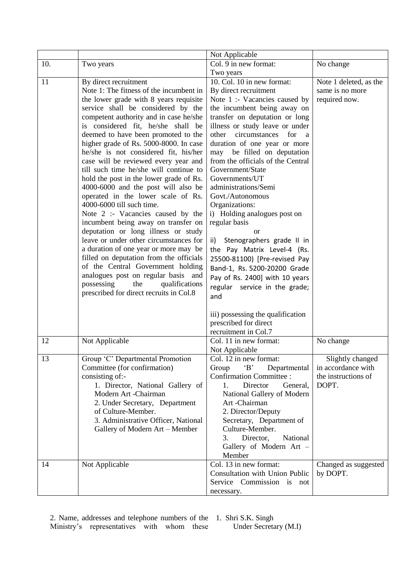|     |                                                                       | Not Applicable                                                   |                        |
|-----|-----------------------------------------------------------------------|------------------------------------------------------------------|------------------------|
| 10. | Two years                                                             | Col. 9 in new format:                                            | No change              |
|     |                                                                       | Two years                                                        |                        |
| 11  | By direct recruitment                                                 | 10. Col. 10 in new format:                                       | Note 1 deleted, as the |
|     | Note 1: The fitness of the incumbent in                               | By direct recruitment                                            | same is no more        |
|     | the lower grade with 8 years requisite                                | Note 1 :- Vacancies caused by                                    | required now.          |
|     | service shall be considered by the                                    | the incumbent being away on                                      |                        |
|     | competent authority and in case he/she                                | transfer on deputation or long                                   |                        |
|     | is considered fit, he/she shall be                                    | illness or study leave or under                                  |                        |
|     | deemed to have been promoted to the                                   | circumstances<br>other<br>for<br>a                               |                        |
|     | higher grade of Rs. 5000-8000. In case                                | duration of one year or more                                     |                        |
|     | he/she is not considered fit, his/her                                 | be filled on deputation<br>may                                   |                        |
|     | case will be reviewed every year and                                  | from the officials of the Central                                |                        |
|     | till such time he/she will continue to                                | Government/State                                                 |                        |
|     | hold the post in the lower grade of Rs.                               | Governments/UT                                                   |                        |
|     | 4000-6000 and the post will also be                                   | administrations/Semi                                             |                        |
|     | operated in the lower scale of Rs.                                    | Govt./Autonomous                                                 |                        |
|     | 4000-6000 till such time.                                             | Organizations:                                                   |                        |
|     | Note 2 :- Vacancies caused by the                                     | i) Holding analogues post on                                     |                        |
|     | incumbent being away on transfer on                                   | regular basis                                                    |                        |
|     | deputation or long illness or study                                   | <sub>or</sub>                                                    |                        |
|     | leave or under other circumstances for                                | Stenographers grade II in<br>ii)                                 |                        |
|     | a duration of one year or more may be                                 | the Pay Matrix Level-4 (Rs.                                      |                        |
|     | filled on deputation from the officials                               | 25500-81100) [Pre-revised Pay                                    |                        |
|     | of the Central Government holding                                     | Band-1, Rs. 5200-20200 Grade                                     |                        |
|     | analogues post on regular basis and                                   | Pay of Rs. 2400] with 10 years                                   |                        |
|     | possessing<br>the<br>qualifications                                   | regular service in the grade;                                    |                        |
|     | prescribed for direct recruits in Col.8                               | and                                                              |                        |
|     |                                                                       |                                                                  |                        |
|     |                                                                       | iii) possessing the qualification                                |                        |
|     |                                                                       | prescribed for direct                                            |                        |
|     |                                                                       | recruitment in Col.7                                             |                        |
| 12  | Not Applicable                                                        | Col. 11 in new format:                                           | No change              |
|     |                                                                       | Not Applicable                                                   |                        |
| 13  | Group 'C' Departmental Promotion                                      | Col. 12 in new format:                                           | Slightly changed       |
|     | Committee (for confirmation)                                          | Departmental<br>Group<br>$\cdot$ B <sup><math>\cdot</math></sup> | in accordance with     |
|     | consisting of:-                                                       | <b>Confirmation Committee:</b>                                   | the instructions of    |
|     | 1. Director, National Gallery of                                      | Director<br>General,<br>1.                                       | DOPT.                  |
|     | Modern Art -Chairman                                                  | National Gallery of Modern                                       |                        |
|     | 2. Under Secretary, Department                                        | Art-Chairman                                                     |                        |
|     | of Culture-Member.                                                    | 2. Director/Deputy                                               |                        |
|     | 3. Administrative Officer, National<br>Gallery of Modern Art - Member | Secretary, Department of<br>Culture-Member.                      |                        |
|     |                                                                       | Director,<br>National<br>3.                                      |                        |
|     |                                                                       | Gallery of Modern Art -                                          |                        |
|     |                                                                       | Member                                                           |                        |
|     |                                                                       | Col. 13 in new format:                                           |                        |
| 14  | Not Applicable                                                        | Consultation with Union Public                                   | Changed as suggested   |
|     |                                                                       | Service Commission is not                                        | by DOPT.               |
|     |                                                                       |                                                                  |                        |
|     |                                                                       | necessary.                                                       |                        |

2. Name, addresses and telephone numbers of the Ministry's representatives with whom these 1. Shri S.K. Singh

Under Secretary (M.I)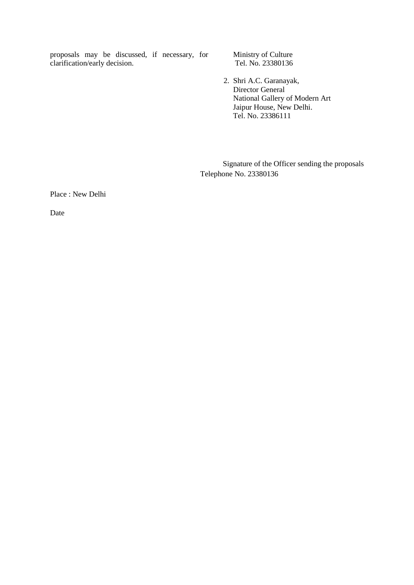proposals may be discussed, if necessary, for clarification/early decision.

 Ministry of Culture Tel. No. 23380136

 2. Shri A.C. Garanayak, Director General National Gallery of Modern Art Jaipur House, New Delhi. Tel. No. 23386111

Signature of the Officer sending the proposals Telephone No. 23380136

Place : New Delhi

Date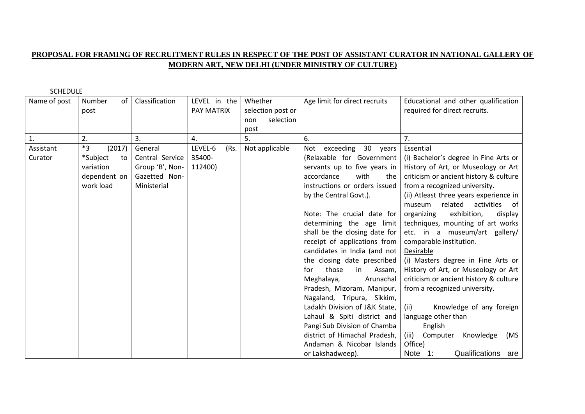### **PROPOSAL FOR FRAMING OF RECRUITMENT RULES IN RESPECT OF THE POST OF ASSISTANT CURATOR IN NATIONAL GALLERY OF MODERN ART, NEW DELHI (UNDER MINISTRY OF CULTURE)**

| Name of post | Number<br>of   | Classification  | LEVEL in the    | Whether           | Age limit for direct recruits | Educational and other qualification    |
|--------------|----------------|-----------------|-----------------|-------------------|-------------------------------|----------------------------------------|
|              | post           |                 | PAY MATRIX      | selection post or |                               | required for direct recruits.          |
|              |                |                 |                 | selection<br>non  |                               |                                        |
|              |                |                 |                 | post              |                               |                                        |
| 1.           | 2.             | 3.              | 4.              | 5.                | 6.                            | 7.                                     |
| Assistant    | $*3$<br>(2017) | General         | LEVEL-6<br>(Rs. | Not applicable    | Not exceeding 30 years        | Essential                              |
| Curator      | *Subject<br>to | Central Service | 35400-          |                   | (Relaxable for Government     | (i) Bachelor's degree in Fine Arts or  |
|              | variation      | Group 'B', Non- | 112400)         |                   | servants up to five years in  | History of Art, or Museology or Art    |
|              | dependent on   | Gazetted Non-   |                 |                   | accordance<br>with<br>the     | criticism or ancient history & culture |
|              | work load      | Ministerial     |                 |                   | instructions or orders issued | from a recognized university.          |
|              |                |                 |                 |                   | by the Central Govt.).        | (ii) Atleast three years experience in |
|              |                |                 |                 |                   |                               | related<br>activities of<br>museum     |
|              |                |                 |                 |                   | Note: The crucial date for    | exhibition,<br>organizing<br>display   |
|              |                |                 |                 |                   | determining the age limit     | techniques, mounting of art works      |
|              |                |                 |                 |                   | shall be the closing date for | etc. in a museum/art gallery/          |
|              |                |                 |                 |                   | receipt of applications from  | comparable institution.                |
|              |                |                 |                 |                   | candidates in India (and not  | Desirable                              |
|              |                |                 |                 |                   | the closing date prescribed   | (i) Masters degree in Fine Arts or     |
|              |                |                 |                 |                   | those<br>in<br>Assam,<br>for  | History of Art, or Museology or Art    |
|              |                |                 |                 |                   | Meghalaya,<br>Arunachal       | criticism or ancient history & culture |
|              |                |                 |                 |                   | Pradesh, Mizoram, Manipur,    | from a recognized university.          |
|              |                |                 |                 |                   | Nagaland, Tripura, Sikkim,    |                                        |
|              |                |                 |                 |                   | Ladakh Division of J&K State, | (ii)<br>Knowledge of any foreign       |
|              |                |                 |                 |                   | Lahaul & Spiti district and   | language other than                    |
|              |                |                 |                 |                   | Pangi Sub Division of Chamba  | English                                |
|              |                |                 |                 |                   | district of Himachal Pradesh, | (iii)<br>Computer<br>Knowledge<br>(MS  |
|              |                |                 |                 |                   | Andaman & Nicobar Islands     | Office)                                |
|              |                |                 |                 |                   | or Lakshadweep).              | Qualifications are<br>Note 1:          |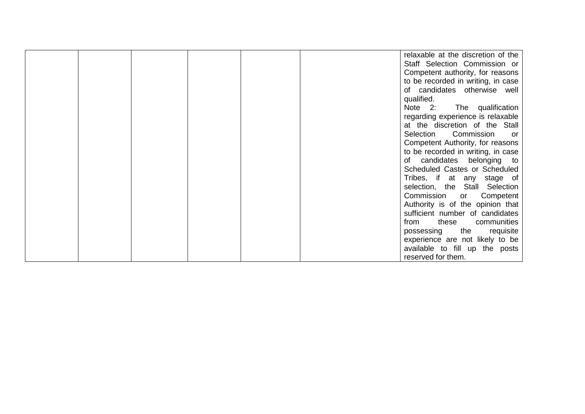|  |  |  | relaxable at the discretion of the |
|--|--|--|------------------------------------|
|  |  |  | Staff Selection Commission or      |
|  |  |  | Competent authority, for reasons   |
|  |  |  | to be recorded in writing, in case |
|  |  |  | of candidates otherwise well       |
|  |  |  | qualified.                         |
|  |  |  | Note 2:<br>The qualification       |
|  |  |  | regarding experience is relaxable  |
|  |  |  | at the discretion of the Stall     |
|  |  |  | Commission<br>Selection<br>or.     |
|  |  |  | Competent Authority, for reasons   |
|  |  |  | to be recorded in writing, in case |
|  |  |  | of candidates belonging to         |
|  |  |  | Scheduled Castes or Scheduled      |
|  |  |  | Tribes, if at any stage of         |
|  |  |  | selection, the Stall Selection     |
|  |  |  | Commission or<br>Competent         |
|  |  |  | Authority is of the opinion that   |
|  |  |  | sufficient number of candidates    |
|  |  |  | communities<br>these<br>from       |
|  |  |  | possessing the<br>requisite        |
|  |  |  | experience are not likely to be    |
|  |  |  | available to fill up the posts     |
|  |  |  | reserved for them.                 |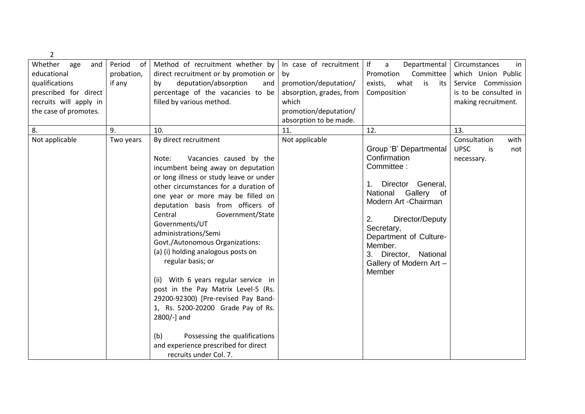| $\overline{2}$         |              |                                         |                          |                                      |                          |
|------------------------|--------------|-----------------------------------------|--------------------------|--------------------------------------|--------------------------|
| Whether<br>age<br>and  | Period<br>of | Method of recruitment whether by        | In case of recruitment   | If<br>$\mathsf{a}$<br>Departmental   | Circumstances<br>in.     |
| educational            | probation,   | direct recruitment or by promotion or   | by                       | Promotion<br>Committee               | which Union Public       |
| qualifications         | if any       | deputation/absorption<br>by<br>and      | promotion/deputation/    | what<br>is<br>exists,<br>its         | Service Commission       |
| prescribed for direct  |              | percentage of the vacancies to be       | absorption, grades, from | Composition                          | is to be consulted in    |
| recruits will apply in |              | filled by various method.               | which                    |                                      | making recruitment.      |
| the case of promotes.  |              |                                         | promotion/deputation/    |                                      |                          |
|                        |              |                                         | absorption to be made.   |                                      |                          |
| 8.<br>9.               |              | 10.                                     | 11.                      | 12.                                  | 13.                      |
| Not applicable         | Two years    | By direct recruitment                   | Not applicable           |                                      | Consultation<br>with     |
|                        |              |                                         |                          | Group 'B' Departmental               | <b>UPSC</b><br>is<br>not |
|                        |              | Vacancies caused by the<br>Note:        |                          | Confirmation                         | necessary.               |
|                        |              | incumbent being away on deputation      |                          | Committee:                           |                          |
|                        |              | or long illness or study leave or under |                          |                                      |                          |
|                        |              | other circumstances for a duration of   |                          | Director General,<br>1.              |                          |
|                        |              | one year or more may be filled on       |                          | National<br>Gallery<br>of            |                          |
|                        |              | deputation basis from officers of       |                          | Modern Art - Chairman                |                          |
|                        |              | Government/State<br>Central             |                          |                                      |                          |
|                        |              | Governments/UT                          |                          | 2.<br>Director/Deputy                |                          |
|                        |              | administrations/Semi                    |                          | Secretary,<br>Department of Culture- |                          |
|                        |              | Govt./Autonomous Organizations:         |                          | Member.                              |                          |
|                        |              | (a) (i) holding analogous posts on      |                          | 3. Director, National                |                          |
|                        |              | regular basis; or                       |                          | Gallery of Modern Art -              |                          |
|                        |              |                                         |                          | Member                               |                          |
|                        |              | (ii) With 6 years regular service in    |                          |                                      |                          |
|                        |              | post in the Pay Matrix Level-5 (Rs.     |                          |                                      |                          |
|                        |              | 29200-92300) [Pre-revised Pay Band-     |                          |                                      |                          |
|                        |              | 1, Rs. 5200-20200 Grade Pay of Rs.      |                          |                                      |                          |
|                        |              | 2800/-] and                             |                          |                                      |                          |
|                        |              |                                         |                          |                                      |                          |
|                        |              | Possessing the qualifications<br>(b)    |                          |                                      |                          |
|                        |              | and experience prescribed for direct    |                          |                                      |                          |
|                        |              | recruits under Col. 7.                  |                          |                                      |                          |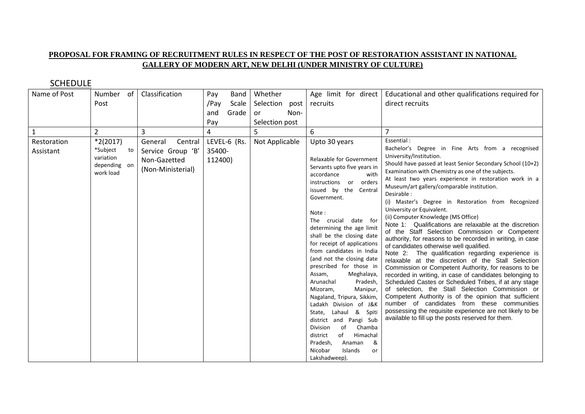### **PROPOSAL FOR FRAMING OF RECRUITMENT RULES IN RESPECT OF THE POST OF RESTORATION ASSISTANT IN NATIONAL GALLERY OF MODERN ART, NEW DELHI (UNDER MINISTRY OF CULTURE)**

| Name of Post             | Number of                                                        |    | Classification                                                               | Pay               | <b>Band</b>  | Whether        | Age limit for direct                                                                                                                                                                                                                                                                                                                                                                                                                                                                                                                                                                                                                                                                                    | Educational and other qualifications required for                                                                                                                                                                                                                                                                                                                                                                                                                                                                                                                                                                                                                                                                                                                                                                                                                                                                                                                                                                                                                                                                                                                                                                                                    |
|--------------------------|------------------------------------------------------------------|----|------------------------------------------------------------------------------|-------------------|--------------|----------------|---------------------------------------------------------------------------------------------------------------------------------------------------------------------------------------------------------------------------------------------------------------------------------------------------------------------------------------------------------------------------------------------------------------------------------------------------------------------------------------------------------------------------------------------------------------------------------------------------------------------------------------------------------------------------------------------------------|------------------------------------------------------------------------------------------------------------------------------------------------------------------------------------------------------------------------------------------------------------------------------------------------------------------------------------------------------------------------------------------------------------------------------------------------------------------------------------------------------------------------------------------------------------------------------------------------------------------------------------------------------------------------------------------------------------------------------------------------------------------------------------------------------------------------------------------------------------------------------------------------------------------------------------------------------------------------------------------------------------------------------------------------------------------------------------------------------------------------------------------------------------------------------------------------------------------------------------------------------|
|                          | Post                                                             |    |                                                                              | /Pay              | Scale        | Selection post | recruits                                                                                                                                                                                                                                                                                                                                                                                                                                                                                                                                                                                                                                                                                                | direct recruits                                                                                                                                                                                                                                                                                                                                                                                                                                                                                                                                                                                                                                                                                                                                                                                                                                                                                                                                                                                                                                                                                                                                                                                                                                      |
|                          |                                                                  |    |                                                                              | and               | Grade        | Non-<br>or     |                                                                                                                                                                                                                                                                                                                                                                                                                                                                                                                                                                                                                                                                                                         |                                                                                                                                                                                                                                                                                                                                                                                                                                                                                                                                                                                                                                                                                                                                                                                                                                                                                                                                                                                                                                                                                                                                                                                                                                                      |
|                          |                                                                  |    |                                                                              | Pay               |              | Selection post |                                                                                                                                                                                                                                                                                                                                                                                                                                                                                                                                                                                                                                                                                                         |                                                                                                                                                                                                                                                                                                                                                                                                                                                                                                                                                                                                                                                                                                                                                                                                                                                                                                                                                                                                                                                                                                                                                                                                                                                      |
| $\mathbf{1}$             | $\overline{2}$                                                   |    | 3                                                                            | 4                 |              |                | 6                                                                                                                                                                                                                                                                                                                                                                                                                                                                                                                                                                                                                                                                                                       |                                                                                                                                                                                                                                                                                                                                                                                                                                                                                                                                                                                                                                                                                                                                                                                                                                                                                                                                                                                                                                                                                                                                                                                                                                                      |
| Restoration<br>Assistant | $*2(2017)$<br>*Subject<br>variation<br>depending on<br>work load | to | General<br>Central<br>Service Group 'B'<br>Non-Gazetted<br>(Non-Ministerial) | 35400-<br>112400) | LEVEL-6 (Rs. | Not Applicable | Upto 30 years<br>Relaxable for Government<br>Servants upto five years in<br>accordance<br>with<br>instructions or orders<br>issued by the Central<br>Government.<br>Note:<br>The crucial date for<br>determining the age limit<br>shall be the closing date<br>for receipt of applications<br>from candidates in India<br>(and not the closing date<br>prescribed for those in<br>Assam,<br>Meghalaya,<br>Arunachal<br>Pradesh,<br>Mizoram,<br>Manipur,<br>Nagaland, Tripura, Sikkim,<br>Ladakh Division of J&K<br>Lahaul & Spiti<br>State,<br>district and Pangi Sub<br>Division<br>Chamba<br>οf<br>Himachal<br>of<br>district<br>Pradesh,<br>&<br>Anaman<br>Nicobar<br>Islands<br>or<br>Lakshadweep). | Essential:<br>Bachelor's Degree in Fine Arts from a recognised<br>University/Institution.<br>Should have passed at least Senior Secondary School (10+2)<br>Examination with Chemistry as one of the subjects.<br>At least two years experience in restoration work in a<br>Museum/art gallery/comparable institution.<br>Desirable:<br>(i) Master's Degree in Restoration from Recognized<br>University or Equivalent.<br>(ii) Computer Knowledge (MS Office)<br>Note 1: Qualifications are relaxable at the discretion<br>of the Staff Selection Commission or Competent<br>authority, for reasons to be recorded in writing, in case<br>of candidates otherwise well qualified.<br>Note 2: The qualification regarding experience is<br>relaxable at the discretion of the Stall Selection<br>Commission or Competent Authority, for reasons to be<br>recorded in writing, in case of candidates belonging to<br>Scheduled Castes or Scheduled Tribes, if at any stage<br>of selection, the Stall Selection Commission or<br>Competent Authority is of the opinion that sufficient<br>number of candidates from these communities<br>possessing the requisite experience are not likely to be<br>available to fill up the posts reserved for them. |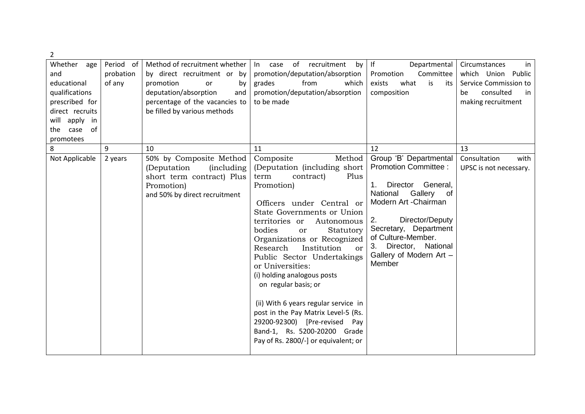| $\overline{2}$                                                                                                                                 |                                  |                                                                                                                                                                                         |                                                                                                                                                                                                                                                                                                                                                                                                                                                                                                                                                                                          |                                                                                                                                                                                                                                                                              |                                                                                                                   |
|------------------------------------------------------------------------------------------------------------------------------------------------|----------------------------------|-----------------------------------------------------------------------------------------------------------------------------------------------------------------------------------------|------------------------------------------------------------------------------------------------------------------------------------------------------------------------------------------------------------------------------------------------------------------------------------------------------------------------------------------------------------------------------------------------------------------------------------------------------------------------------------------------------------------------------------------------------------------------------------------|------------------------------------------------------------------------------------------------------------------------------------------------------------------------------------------------------------------------------------------------------------------------------|-------------------------------------------------------------------------------------------------------------------|
| Whether age<br>and<br>educational<br>qualifications<br>prescribed for<br>direct recruits<br>will apply<br>in<br>0f<br>case<br>the<br>promotees | Period of<br>probation<br>of any | Method of recruitment whether<br>by direct recruitment or by<br>promotion<br>or<br>by<br>deputation/absorption<br>and<br>percentage of the vacancies to<br>be filled by various methods | of recruitment<br>In case<br>by<br>promotion/deputation/absorption<br>from<br>grades<br>which<br>promotion/deputation/absorption<br>to be made                                                                                                                                                                                                                                                                                                                                                                                                                                           | f <br>Departmental<br>Promotion<br>Committee<br>what<br>exists<br>is<br>its<br>composition                                                                                                                                                                                   | Circumstances<br>in<br>which Union Public<br>Service Commission to<br>consulted<br>be<br>in<br>making recruitment |
| 8                                                                                                                                              | 9                                | 10                                                                                                                                                                                      | 11                                                                                                                                                                                                                                                                                                                                                                                                                                                                                                                                                                                       | 12                                                                                                                                                                                                                                                                           | 13                                                                                                                |
| Not Applicable                                                                                                                                 | 2 years                          | 50% by Composite Method<br>(Deputation<br><i>(including)</i><br>short term contract) Plus<br>Promotion)<br>and 50% by direct recruitment                                                | Method<br>Composite<br>(Deputation (including short)<br>contract)<br>Plus<br>term<br>Promotion)<br>Officers under Central or<br>State Governments or Union<br>territories or<br>Autonomous<br>bodies<br>Statutory<br>or<br>Organizations or Recognized<br>Research<br>Institution<br>or<br>Public Sector Undertakings<br>or Universities:<br>(i) holding analogous posts<br>on regular basis; or<br>(ii) With 6 years regular service in<br>post in the Pay Matrix Level-5 (Rs.<br>29200-92300) [Pre-revised Pay<br>Band-1, Rs. 5200-20200 Grade<br>Pay of Rs. 2800/-] or equivalent; or | Group 'B' Departmental<br><b>Promotion Committee:</b><br>Director General,<br>1.<br>Gallery<br>National<br>0f<br>Modern Art - Chairman<br>2.<br>Director/Deputy<br>Secretary, Department<br>of Culture-Member.<br>3. Director, National<br>Gallery of Modern Art -<br>Member | Consultation<br>with<br>UPSC is not necessary.                                                                    |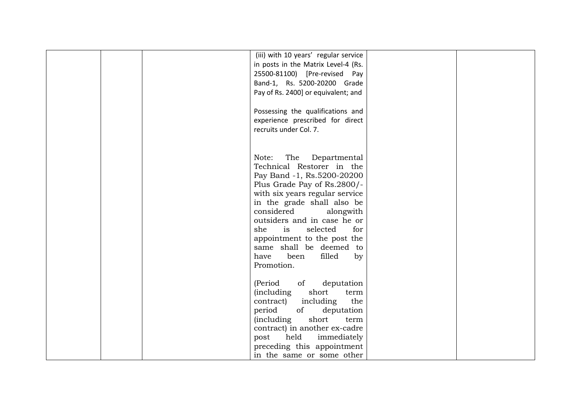| (iii) with 10 years' regular service<br>in posts in the Matrix Level-4 (Rs.<br>25500-81100) [Pre-revised Pay<br>Band-1, Rs. 5200-20200 Grade<br>Pay of Rs. 2400] or equivalent; and<br>Possessing the qualifications and<br>experience prescribed for direct<br>recruits under Col. 7.                                                                                                   |  |
|------------------------------------------------------------------------------------------------------------------------------------------------------------------------------------------------------------------------------------------------------------------------------------------------------------------------------------------------------------------------------------------|--|
| The<br>Note:<br>Departmental<br>Technical Restorer in the<br>Pay Band -1, Rs.5200-20200<br>Plus Grade Pay of Rs.2800/-<br>with six years regular service<br>in the grade shall also be<br>considered<br>alongwith<br>outsiders and in case he or<br>selected<br>she<br>is<br>for<br>appointment to the post the<br>same shall be deemed to<br>been<br>filled<br>have<br>by<br>Promotion. |  |
| of<br>(Period<br>deputation<br><i>(including</i><br>short<br>term<br>including<br>the<br>contract)<br>period<br>of<br>deputation<br><i>(including)</i><br>short<br>term<br>contract) in another ex-cadre<br>held<br>immediately<br>post<br>preceding this appointment<br>in the same or some other                                                                                       |  |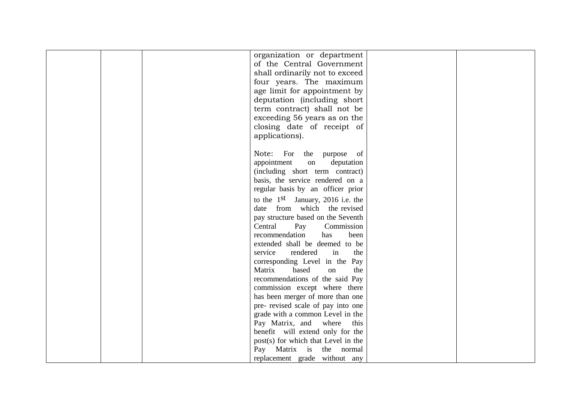|  | organization or department          |  |
|--|-------------------------------------|--|
|  | of the Central Government           |  |
|  | shall ordinarily not to exceed      |  |
|  | four years. The maximum             |  |
|  | age limit for appointment by        |  |
|  | deputation (including short)        |  |
|  | term contract) shall not be         |  |
|  | exceeding 56 years as on the        |  |
|  |                                     |  |
|  | closing date of receipt of          |  |
|  | applications).                      |  |
|  |                                     |  |
|  | Note: For the purpose of            |  |
|  | appointment<br>deputation<br>on     |  |
|  | (including short term contract)     |  |
|  | basis, the service rendered on a    |  |
|  | regular basis by an officer prior   |  |
|  | to the $1st$ January, 2016 i.e. the |  |
|  | date from which the revised         |  |
|  | pay structure based on the Seventh  |  |
|  | Central<br>Commission<br>Pay        |  |
|  | recommendation<br>has<br>been       |  |
|  | extended shall be deemed to be      |  |
|  | rendered<br>service<br>in<br>the    |  |
|  | corresponding Level in the Pay      |  |
|  | based<br>on<br>Matrix<br>the        |  |
|  | recommendations of the said Pay     |  |
|  | commission except where there       |  |
|  | has been merger of more than one    |  |
|  | pre- revised scale of pay into one  |  |
|  | grade with a common Level in the    |  |
|  | Pay Matrix, and<br>where<br>this    |  |
|  | benefit will extend only for the    |  |
|  | post(s) for which that Level in the |  |
|  | Matrix is the normal<br>Pay         |  |
|  | replacement grade without any       |  |
|  |                                     |  |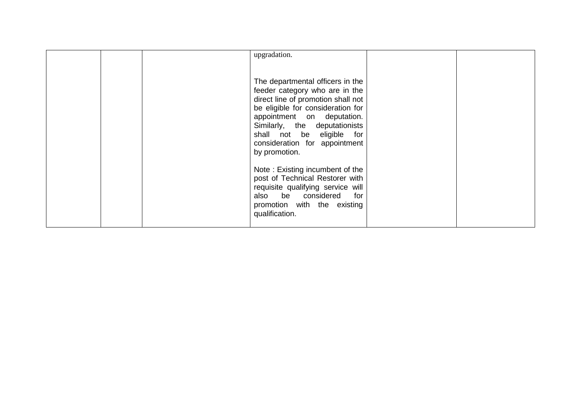|  | upgradation.<br>The departmental officers in the                                                                                                                                                                                                        |  |
|--|---------------------------------------------------------------------------------------------------------------------------------------------------------------------------------------------------------------------------------------------------------|--|
|  | feeder category who are in the<br>direct line of promotion shall not<br>be eligible for consideration for<br>appointment on deputation.<br>Similarly, the deputationists<br>shall not be eligible for<br>consideration for appointment<br>by promotion. |  |
|  | Note: Existing incumbent of the<br>post of Technical Restorer with<br>requisite qualifying service will<br>also be considered for<br>promotion with the existing<br>qualification.                                                                      |  |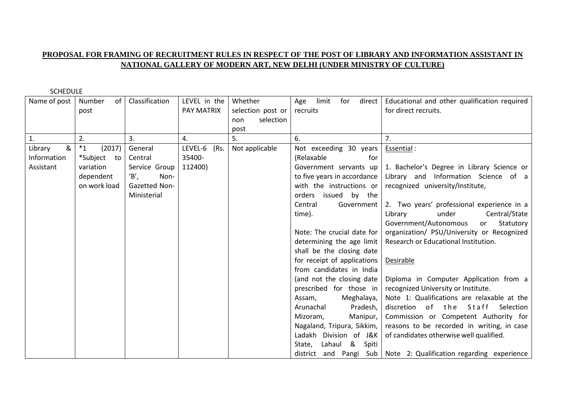#### **PROPOSAL FOR FRAMING OF RECRUITMENT RULES IN RESPECT OF THE POST OF LIBRARY AND INFORMATION ASSISTANT IN NATIONAL GALLERY OF MODERN ART, NEW DELHI (UNDER MINISTRY OF CULTURE)**

| Name of post | Number<br>of      | Classification | LEVEL in the | Whether           | limit<br>for<br>direct<br>Age | Educational and other qualification required                        |
|--------------|-------------------|----------------|--------------|-------------------|-------------------------------|---------------------------------------------------------------------|
|              | post              |                | PAY MATRIX   | selection post or | recruits                      | for direct recruits.                                                |
|              |                   |                |              | selection<br>non  |                               |                                                                     |
|              |                   |                |              | post              |                               |                                                                     |
| 1.           | 2.                | 3.             | 4.           | 5.                | 6.                            | 7.                                                                  |
| &<br>Library | $*_{1}$<br>(2017) | General        | LEVEL-6 (Rs. | Not applicable    | Not exceeding 30 years        | Essential :                                                         |
| Information  | *Subject<br>to    | Central        | 35400-       |                   | (Relaxable<br>for             |                                                                     |
| Assistant    | variation         | Service Group  | 112400)      |                   | Government servants up        | 1. Bachelor's Degree in Library Science or                          |
|              | dependent         | $B$ ,<br>Non-  |              |                   | to five years in accordance   | Library and Information Science of a                                |
|              | on work load      | Gazetted Non-  |              |                   | with the instructions or      | recognized university/Institute,                                    |
|              |                   | Ministerial    |              |                   | orders issued by the          |                                                                     |
|              |                   |                |              |                   | Government<br>Central         | 2. Two years' professional experience in a                          |
|              |                   |                |              |                   | time).                        | under<br>Central/State<br>Library                                   |
|              |                   |                |              |                   |                               | Government/Autonomous<br>Statutory<br>or                            |
|              |                   |                |              |                   | Note: The crucial date for    | organization/ PSU/University or Recognized                          |
|              |                   |                |              |                   | determining the age limit     | Research or Educational Institution.                                |
|              |                   |                |              |                   | shall be the closing date     |                                                                     |
|              |                   |                |              |                   | for receipt of applications   | Desirable                                                           |
|              |                   |                |              |                   | from candidates in India      |                                                                     |
|              |                   |                |              |                   | (and not the closing date     | Diploma in Computer Application from a                              |
|              |                   |                |              |                   | prescribed for those in       | recognized University or Institute.                                 |
|              |                   |                |              |                   | Meghalaya,<br>Assam,          | Note 1: Qualifications are relaxable at the                         |
|              |                   |                |              |                   | Pradesh,<br>Arunachal         | discretion<br>of the Staff<br>Selection                             |
|              |                   |                |              |                   | Mizoram,<br>Manipur,          | Commission or Competent Authority for                               |
|              |                   |                |              |                   | Nagaland, Tripura, Sikkim,    | reasons to be recorded in writing, in case                          |
|              |                   |                |              |                   | Ladakh Division of J&K        | of candidates otherwise well qualified.                             |
|              |                   |                |              |                   | Lahaul & Spiti<br>State,      |                                                                     |
|              |                   |                |              |                   |                               | district and Pangi Sub   Note 2: Qualification regarding experience |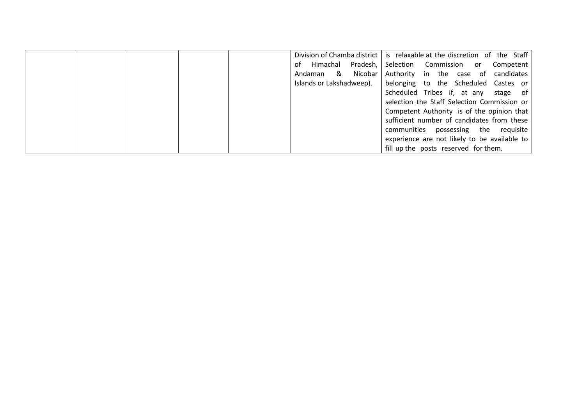|  |  | Division of Chamba district is relaxable at the discretion of the Staff |         |                                              |  |
|--|--|-------------------------------------------------------------------------|---------|----------------------------------------------|--|
|  |  | Himachal Pradesh,  <br>of                                               |         | Selection Commission or Competent            |  |
|  |  | &<br>Andaman                                                            | Nicobar | Authority in the case of candidates          |  |
|  |  | Islands or Lakshadweep).                                                |         | belonging to the Scheduled Castes or         |  |
|  |  |                                                                         |         | Scheduled Tribes if, at any stage of         |  |
|  |  |                                                                         |         | selection the Staff Selection Commission or  |  |
|  |  |                                                                         |         | Competent Authority is of the opinion that   |  |
|  |  |                                                                         |         | sufficient number of candidates from these   |  |
|  |  |                                                                         |         | communities possessing the requisite         |  |
|  |  |                                                                         |         | experience are not likely to be available to |  |
|  |  |                                                                         |         | fill up the posts reserved for them.         |  |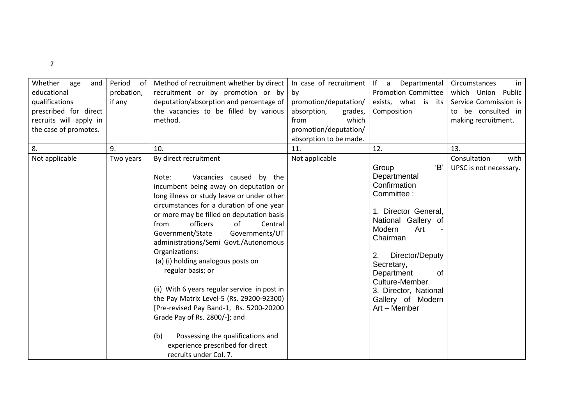| . .         |
|-------------|
| I<br>v<br>v |
|             |

| Whether<br>and<br>age<br>educational<br>qualifications<br>prescribed for direct<br>recruits will apply in<br>the case of promotes. | Period<br>0f<br>probation,<br>if any | Method of recruitment whether by direct<br>recruitment or by promotion or by<br>deputation/absorption and percentage of<br>the vacancies to be filled by various<br>method.                                                                                                                                                                                                                                                                                                                                                                                                                                                                                                                                                         | In case of recruitment<br>by<br>promotion/deputation/<br>absorption,<br>grades,<br>which<br>from<br>promotion/deputation/ | If a<br>Departmental<br><b>Promotion Committee</b><br>exists, what is<br>its<br>Composition                                                                                                                                                                                               | Circumstances<br>in<br>which Union Public<br>Service Commission is<br>to be consulted in<br>making recruitment. |
|------------------------------------------------------------------------------------------------------------------------------------|--------------------------------------|-------------------------------------------------------------------------------------------------------------------------------------------------------------------------------------------------------------------------------------------------------------------------------------------------------------------------------------------------------------------------------------------------------------------------------------------------------------------------------------------------------------------------------------------------------------------------------------------------------------------------------------------------------------------------------------------------------------------------------------|---------------------------------------------------------------------------------------------------------------------------|-------------------------------------------------------------------------------------------------------------------------------------------------------------------------------------------------------------------------------------------------------------------------------------------|-----------------------------------------------------------------------------------------------------------------|
|                                                                                                                                    |                                      |                                                                                                                                                                                                                                                                                                                                                                                                                                                                                                                                                                                                                                                                                                                                     | absorption to be made.                                                                                                    |                                                                                                                                                                                                                                                                                           |                                                                                                                 |
| 8.<br>Not applicable                                                                                                               | 9.<br>Two years                      | 10.<br>By direct recruitment<br>Note:<br>Vacancies caused by the<br>incumbent being away on deputation or<br>long illness or study leave or under other<br>circumstances for a duration of one year<br>or more may be filled on deputation basis<br>officers<br>of<br>Central<br>from<br>Government/State<br>Governments/UT<br>administrations/Semi Govt./Autonomous<br>Organizations:<br>(a) (i) holding analogous posts on<br>regular basis; or<br>(ii) With 6 years regular service in post in<br>the Pay Matrix Level-5 (Rs. 29200-92300)<br>[Pre-revised Pay Band-1, Rs. 5200-20200<br>Grade Pay of Rs. 2800/-]; and<br>Possessing the qualifications and<br>(b)<br>experience prescribed for direct<br>recruits under Col. 7. | 11.<br>Not applicable                                                                                                     | 12.<br>'B'<br>Group<br>Departmental<br>Confirmation<br>Committee:<br>1. Director General,<br>National Gallery of<br>Modern<br>Art<br>Chairman<br>Director/Deputy<br>2.<br>Secretary,<br>Department<br>of<br>Culture-Member.<br>3. Director, National<br>Gallery of Modern<br>Art - Member | 13.<br>Consultation<br>with<br>UPSC is not necessary.                                                           |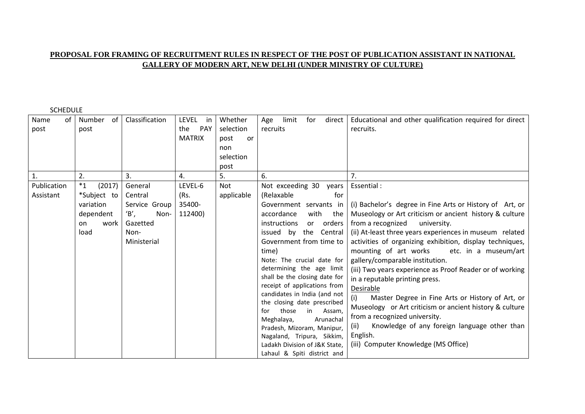#### **PROPOSAL FOR FRAMING OF RECRUITMENT RULES IN RESPECT OF THE POST OF PUBLICATION ASSISTANT IN NATIONAL GALLERY OF MODERN ART, NEW DELHI (UNDER MINISTRY OF CULTURE)**

| Name<br>of     | Number of         | Classification | <b>LEVEL</b><br>in | Whether    | limit<br>for<br>direct<br>Age                           | Educational and other qualification required for direct  |
|----------------|-------------------|----------------|--------------------|------------|---------------------------------------------------------|----------------------------------------------------------|
| post           | post              |                | <b>PAY</b><br>the  | selection  | recruits                                                | recruits.                                                |
|                |                   |                | <b>MATRIX</b>      | post<br>or |                                                         |                                                          |
|                |                   |                |                    | non        |                                                         |                                                          |
|                |                   |                |                    | selection  |                                                         |                                                          |
|                |                   |                |                    | post       |                                                         |                                                          |
| $\mathbf{1}$ . | 2.                | 3.             | 4.                 | 5.         | 6.                                                      | 7.                                                       |
| Publication    | $*_{1}$<br>(2017) | General        | LEVEL-6            | Not        | Not exceeding 30<br>years                               | Essential :                                              |
| Assistant      | *Subject to       | Central        | (Rs.               | applicable | (Relaxable<br>for                                       |                                                          |
|                | variation         | Service Group  | 35400-             |            | Government servants in                                  | (i) Bachelor's degree in Fine Arts or History of Art, or |
|                | dependent         | 'B',<br>Non-   | 112400)            |            | with<br>accordance<br>the                               | Museology or Art criticism or ancient history & culture  |
|                | work<br>on        | Gazetted       |                    |            | orders<br>instructions<br>or                            | from a recognized<br>university.                         |
|                | load              | Non-           |                    |            | issued by the Central                                   | (ii) At-least three years experiences in museum related  |
|                |                   | Ministerial    |                    |            | Government from time to                                 | activities of organizing exhibition, display techniques, |
|                |                   |                |                    |            | time)                                                   | mounting of art works etc. in a museum/art               |
|                |                   |                |                    |            | Note: The crucial date for                              | gallery/comparable institution.                          |
|                |                   |                |                    |            | determining the age limit                               | (iii) Two years experience as Proof Reader or of working |
|                |                   |                |                    |            | shall be the closing date for                           | in a reputable printing press.                           |
|                |                   |                |                    |            | receipt of applications from                            | Desirable                                                |
|                |                   |                |                    |            | candidates in India (and not                            | (i)<br>Master Degree in Fine Arts or History of Art, or  |
|                |                   |                |                    |            | the closing date prescribed                             | Museology or Art criticism or ancient history & culture  |
|                |                   |                |                    |            | those<br>in<br>Assam,<br>for<br>Meghalaya,<br>Arunachal | from a recognized university.                            |
|                |                   |                |                    |            | Pradesh, Mizoram, Manipur,                              | Knowledge of any foreign language other than<br>(ii)     |
|                |                   |                |                    |            | Nagaland, Tripura, Sikkim,                              | English.                                                 |
|                |                   |                |                    |            | Ladakh Division of J&K State,                           | (iii) Computer Knowledge (MS Office)                     |
|                |                   |                |                    |            | Lahaul & Spiti district and                             |                                                          |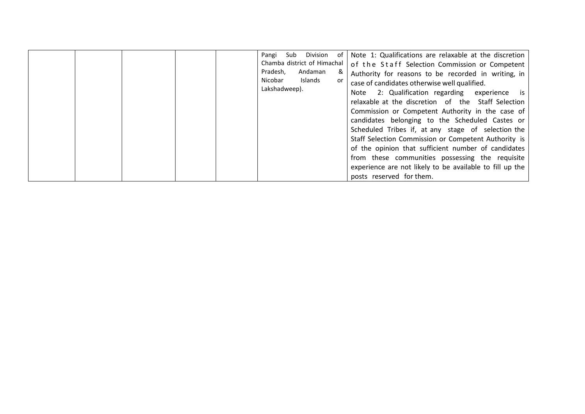|  |  |  |  |  | Sub<br>Pangi<br>Chamba district of Himachal<br>Pradesh,<br>Nicobar<br>Lakshadweep). | Division<br>Andaman<br>Islands | of<br>&<br>or | Note 1: Qualifications are relaxable at the discretion<br>of the Staff Selection Commission or Competent<br>Authority for reasons to be recorded in writing, in<br>case of candidates otherwise well qualified.<br>Note 2: Qualification regarding experience is<br>relaxable at the discretion of the Staff Selection<br>Commission or Competent Authority in the case of<br>candidates belonging to the Scheduled Castes or<br>Scheduled Tribes if, at any stage of selection the<br>Staff Selection Commission or Competent Authority is<br>of the opinion that sufficient number of candidates<br>from these communities possessing the requisite<br>experience are not likely to be available to fill up the<br>posts reserved for them. |
|--|--|--|--|--|-------------------------------------------------------------------------------------|--------------------------------|---------------|-----------------------------------------------------------------------------------------------------------------------------------------------------------------------------------------------------------------------------------------------------------------------------------------------------------------------------------------------------------------------------------------------------------------------------------------------------------------------------------------------------------------------------------------------------------------------------------------------------------------------------------------------------------------------------------------------------------------------------------------------|
|--|--|--|--|--|-------------------------------------------------------------------------------------|--------------------------------|---------------|-----------------------------------------------------------------------------------------------------------------------------------------------------------------------------------------------------------------------------------------------------------------------------------------------------------------------------------------------------------------------------------------------------------------------------------------------------------------------------------------------------------------------------------------------------------------------------------------------------------------------------------------------------------------------------------------------------------------------------------------------|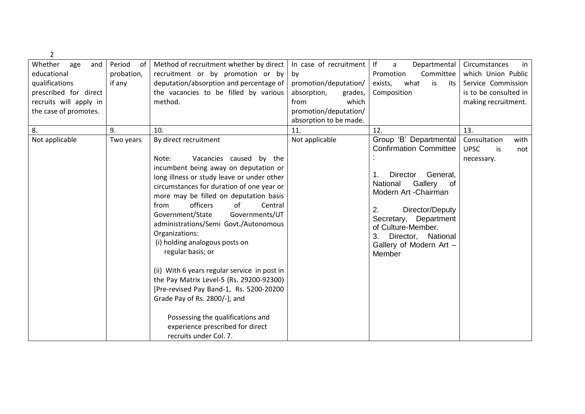| 2                      |              |                                              |                        |                                                    |                          |
|------------------------|--------------|----------------------------------------------|------------------------|----------------------------------------------------|--------------------------|
| Whether<br>age<br>and  | Period<br>0f | Method of recruitment whether by direct      | In case of recruitment | f <br>Departmental<br>a                            | Circumstances<br>in      |
| educational            | probation,   | recruitment or by promotion or by            | by                     | Promotion<br>Committee                             | which Union Public       |
| qualifications         | if any       | deputation/absorption and percentage of      | promotion/deputation/  | what<br>is<br>exists,<br>its                       | Service Commission       |
| prescribed for direct  |              | the vacancies to be filled by various        | absorption,<br>grades, | Composition                                        | is to be consulted in    |
| recruits will apply in |              | method.                                      | which<br>from          |                                                    | making recruitment.      |
| the case of promotes.  |              |                                              | promotion/deputation/  |                                                    |                          |
|                        |              |                                              | absorption to be made. |                                                    |                          |
| 8.                     | 9.           | 10.                                          | 11.                    | 12.                                                | 13.                      |
| Not applicable         | Two years    | By direct recruitment                        | Not applicable         | Group 'B' Departmental                             | Consultation<br>with     |
|                        |              |                                              |                        | <b>Confirmation Committee</b>                      | <b>UPSC</b><br>is<br>not |
|                        |              | Vacancies caused by the<br>Note:             |                        |                                                    | necessary.               |
|                        |              | incumbent being away on deputation or        |                        |                                                    |                          |
|                        |              | long illness or study leave or under other   |                        | General,<br>Director<br>$\mathbf 1$ .              |                          |
|                        |              | circumstances for duration of one year or    |                        | Gallery<br>National<br>of<br>Modern Art - Chairman |                          |
|                        |              | more may be filled on deputation basis       |                        |                                                    |                          |
|                        |              | officers<br>of<br>from<br>Central            |                        | 2.<br>Director/Deputy                              |                          |
|                        |              | Government/State<br>Governments/UT           |                        | Department<br>Secretary,                           |                          |
|                        |              | administrations/Semi Govt./Autonomous        |                        | of Culture-Member.                                 |                          |
|                        |              | Organizations:                               |                        | 3.<br>Director, National                           |                          |
|                        |              | (i) holding analogous posts on               |                        | Gallery of Modern Art -                            |                          |
|                        |              | regular basis; or                            |                        | Member                                             |                          |
|                        |              |                                              |                        |                                                    |                          |
|                        |              | (ii) With 6 years regular service in post in |                        |                                                    |                          |
|                        |              | the Pay Matrix Level-5 (Rs. 29200-92300)     |                        |                                                    |                          |
|                        |              | [Pre-revised Pay Band-1, Rs. 5200-20200      |                        |                                                    |                          |
|                        |              | Grade Pay of Rs. 2800/-]; and                |                        |                                                    |                          |
|                        |              |                                              |                        |                                                    |                          |
|                        |              | Possessing the qualifications and            |                        |                                                    |                          |
|                        |              | experience prescribed for direct             |                        |                                                    |                          |
|                        |              | recruits under Col. 7.                       |                        |                                                    |                          |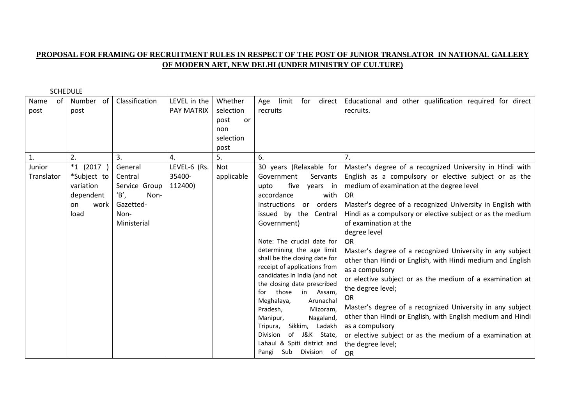## **PROPOSAL FOR FRAMING OF RECRUITMENT RULES IN RESPECT OF THE POST OF JUNIOR TRANSLATOR IN NATIONAL GALLERY OF MODERN ART, NEW DELHI (UNDER MINISTRY OF CULTURE)**

| of<br>Name<br>post | Number of<br>post | Classification | LEVEL in the<br><b>PAY MATRIX</b> | Whether<br>selection<br>post<br>or<br>non<br>selection | for<br>direct<br>limit<br>Age<br>recruits               | Educational and other qualification required for direct<br>recruits. |
|--------------------|-------------------|----------------|-----------------------------------|--------------------------------------------------------|---------------------------------------------------------|----------------------------------------------------------------------|
|                    |                   |                |                                   | post                                                   |                                                         |                                                                      |
| 1.                 | 2.                | 3.             | 4.                                | 5.                                                     | 6.                                                      |                                                                      |
| Junior             | $*1$ (2017)       | General        | LEVEL-6 (Rs.                      | Not                                                    | 30 years (Relaxable for                                 | Master's degree of a recognized University in Hindi with             |
| Translator         | *Subject to       | Central        | 35400-                            | applicable                                             | Government<br>Servants                                  | English as a compulsory or elective subject or as the                |
|                    | variation         | Service Group  | 112400)                           |                                                        | five<br>years in<br>upto                                | medium of examination at the degree level                            |
|                    | dependent         | B',<br>Non-    |                                   |                                                        | accordance<br>with                                      | <b>OR</b>                                                            |
|                    | work<br>on        | Gazetted-      |                                   |                                                        | instructions<br>orders<br>or                            | Master's degree of a recognized University in English with           |
|                    | load              | Non-           |                                   |                                                        | issued by the<br>Central                                | Hindi as a compulsory or elective subject or as the medium           |
|                    |                   | Ministerial    |                                   |                                                        | Government)                                             | of examination at the                                                |
|                    |                   |                |                                   |                                                        |                                                         | degree level                                                         |
|                    |                   |                |                                   |                                                        | Note: The crucial date for                              | <b>OR</b>                                                            |
|                    |                   |                |                                   |                                                        | determining the age limit                               | Master's degree of a recognized University in any subject            |
|                    |                   |                |                                   |                                                        | shall be the closing date for                           | other than Hindi or English, with Hindi medium and English           |
|                    |                   |                |                                   |                                                        | receipt of applications from                            | as a compulsory                                                      |
|                    |                   |                |                                   |                                                        | candidates in India (and not                            | or elective subject or as the medium of a examination at             |
|                    |                   |                |                                   |                                                        | the closing date prescribed                             | the degree level;                                                    |
|                    |                   |                |                                   |                                                        | those<br>in<br>Assam,<br>for<br>Meghalaya,<br>Arunachal | OR                                                                   |
|                    |                   |                |                                   |                                                        | Pradesh,<br>Mizoram,                                    | Master's degree of a recognized University in any subject            |
|                    |                   |                |                                   |                                                        | Manipur,<br>Nagaland,                                   | other than Hindi or English, with English medium and Hindi           |
|                    |                   |                |                                   |                                                        | Sikkim, Ladakh<br>Tripura,                              | as a compulsory                                                      |
|                    |                   |                |                                   |                                                        | of J&K State,<br>Division                               | or elective subject or as the medium of a examination at             |
|                    |                   |                |                                   |                                                        | Lahaul & Spiti district and                             | the degree level;                                                    |
|                    |                   |                |                                   |                                                        | Division of<br>Sub<br>Pangi                             | <b>OR</b>                                                            |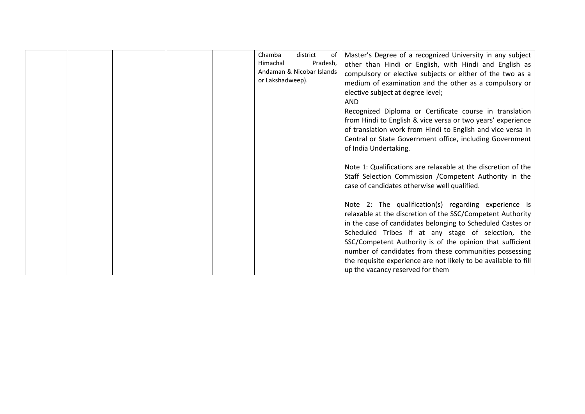|  |  | Chamba<br>Himachal<br>or Lakshadweep). | district<br>of<br>Pradesh,<br>Andaman & Nicobar Islands | Master's Degree of a recognized University in any subject<br>other than Hindi or English, with Hindi and English as<br>compulsory or elective subjects or either of the two as a<br>medium of examination and the other as a compulsory or<br>elective subject at degree level;<br>AND<br>Recognized Diploma or Certificate course in translation<br>from Hindi to English & vice versa or two years' experience<br>of translation work from Hindi to English and vice versa in<br>Central or State Government office, including Government<br>of India Undertaking.                                                                             |
|--|--|----------------------------------------|---------------------------------------------------------|--------------------------------------------------------------------------------------------------------------------------------------------------------------------------------------------------------------------------------------------------------------------------------------------------------------------------------------------------------------------------------------------------------------------------------------------------------------------------------------------------------------------------------------------------------------------------------------------------------------------------------------------------|
|  |  |                                        |                                                         | Note 1: Qualifications are relaxable at the discretion of the<br>Staff Selection Commission / Competent Authority in the<br>case of candidates otherwise well qualified.<br>Note 2: The qualification(s) regarding experience is<br>relaxable at the discretion of the SSC/Competent Authority<br>in the case of candidates belonging to Scheduled Castes or<br>Scheduled Tribes if at any stage of selection, the<br>SSC/Competent Authority is of the opinion that sufficient<br>number of candidates from these communities possessing<br>the requisite experience are not likely to be available to fill<br>up the vacancy reserved for them |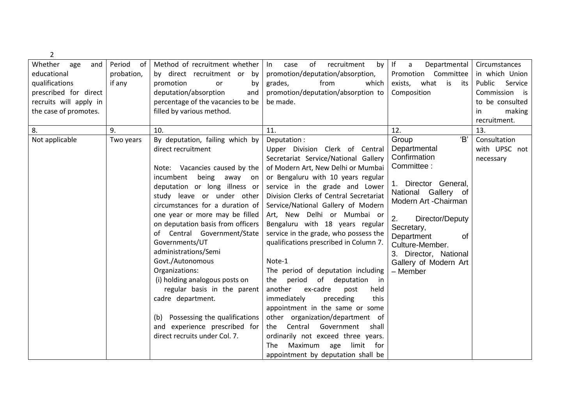| 2                               |                                      |                                           |                              |                   |
|---------------------------------|--------------------------------------|-------------------------------------------|------------------------------|-------------------|
| Period<br>Whether<br>age<br>and | Method of recruitment whether<br>of  | of<br>recruitment<br>ln<br>case<br>by     | If<br>Departmental<br>a      | Circumstances     |
| probation,<br>educational       | by direct recruitment or by          | promotion/deputation/absorption,          | Promotion Committee          | in which Union    |
| qualifications<br>if any        | promotion<br>by<br>or                | from<br>which<br>grades,                  | what<br>exists,<br>is<br>its | Public<br>Service |
| prescribed for direct           | deputation/absorption<br>and         | promotion/deputation/absorption to        | Composition                  | Commission is     |
| recruits will apply in          | percentage of the vacancies to be    | be made.                                  |                              | to be consulted   |
| the case of promotes.           | filled by various method.            |                                           |                              | making<br>in.     |
|                                 |                                      |                                           |                              | recruitment.      |
| 8.<br>9.                        | 10.                                  | 11.                                       | 12.                          | 13.               |
| Not applicable<br>Two years     | By deputation, failing which by      | Deputation:                               | 'B'<br>Group                 | Consultation      |
|                                 | direct recruitment                   | Upper Division Clerk of Central           | Departmental                 | with UPSC not     |
|                                 |                                      | Secretariat Service/National Gallery      | Confirmation                 | necessary         |
|                                 | Note: Vacancies caused by the        | of Modern Art, New Delhi or Mumbai        | Committee:                   |                   |
|                                 | incumbent<br>being away on           | or Bengaluru with 10 years regular        |                              |                   |
|                                 | deputation or long illness or        | service in the grade and Lower            | 1. Director General,         |                   |
|                                 | study leave or under other           | Division Clerks of Central Secretariat    | National Gallery<br>of       |                   |
|                                 | circumstances for a duration of      | Service/National Gallery of Modern        | Modern Art - Chairman        |                   |
|                                 | one year or more may be filled       | Art, New Delhi or Mumbai or               | 2.<br>Director/Deputy        |                   |
|                                 | on deputation basis from officers    | Bengaluru with 18 years regular           | Secretary,                   |                   |
|                                 | of Central Government/State          | service in the grade, who possess the     | Department<br>0f             |                   |
|                                 | Governments/UT                       | qualifications prescribed in Column 7.    | Culture-Member.              |                   |
|                                 | administrations/Semi                 |                                           | 3. Director, National        |                   |
|                                 | Govt./Autonomous                     | Note-1                                    | Gallery of Modern Art        |                   |
|                                 | Organizations:                       | The period of deputation including        | - Member                     |                   |
|                                 | (i) holding analogous posts on       | period<br>of<br>deputation<br>the<br>- in |                              |                   |
|                                 | regular basis in the parent          | another<br>ex-cadre<br>post<br>held       |                              |                   |
|                                 | cadre department.                    | immediately<br>preceding<br>this          |                              |                   |
|                                 |                                      | appointment in the same or some           |                              |                   |
|                                 | Possessing the qualifications<br>(b) | other organization/department of          |                              |                   |
|                                 | and experience prescribed for        | Central<br>Government<br>the<br>shall     |                              |                   |
|                                 | direct recruits under Col. 7.        | ordinarily not exceed three years.        |                              |                   |
|                                 |                                      | Maximum<br>age<br>limit<br>The<br>for -   |                              |                   |
|                                 |                                      | appointment by deputation shall be        |                              |                   |